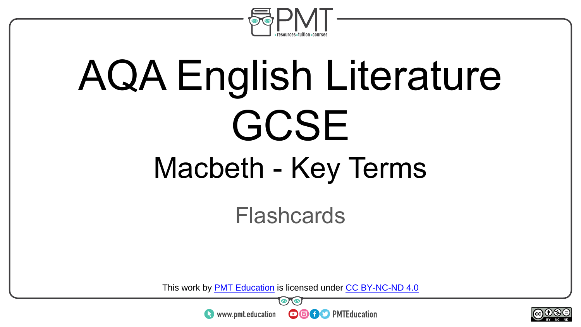

# AQA English Literature GCSE Macbeth - Key Terms

Flashcards

This work by <u>PMT Education</u> is licensed under CC BY-NC-ND 4.0<br>
www.pmt.education **in the CO CO** PMTEducation



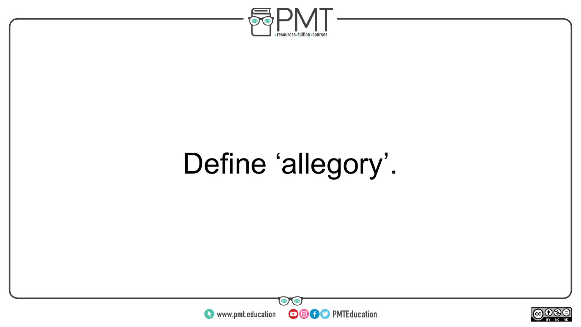

## Define 'allegory'.



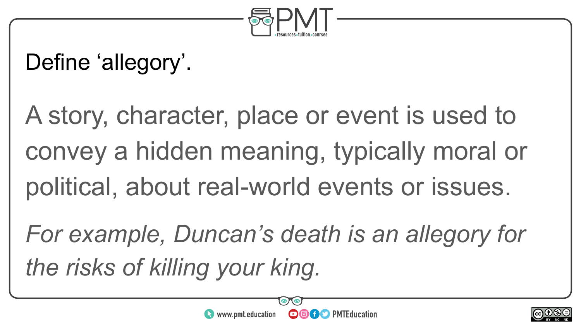

#### Define 'allegory'.

A story, character, place or event is used to convey a hidden meaning, typically moral or political, about real-world events or issues.

*For example, Duncan's death is an allegory for the risks of killing your king.*



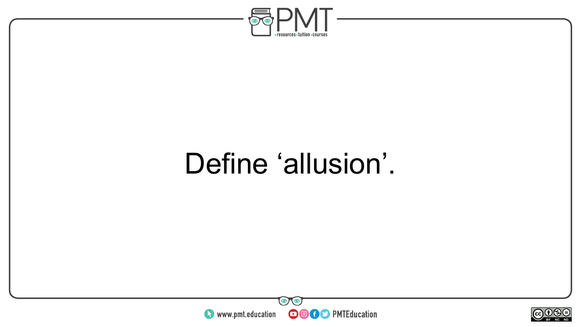

### Define 'allusion'.



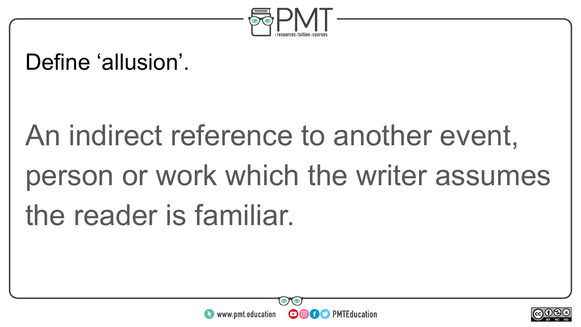

#### Define 'allusion'.

## An indirect reference to another event, person or work which the writer assumes the reader is familiar.



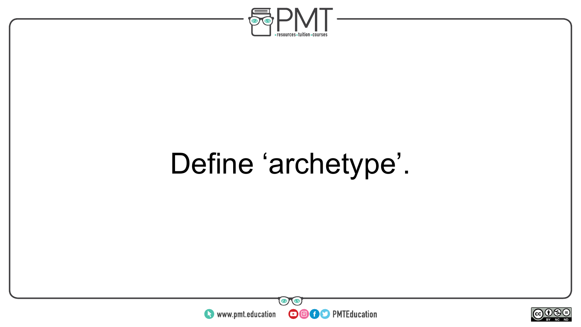

## Define 'archetype'.



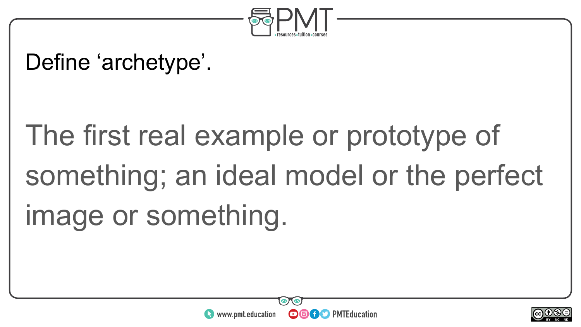

#### Define 'archetype'.

## The first real example or prototype of something; an ideal model or the perfect image or something.



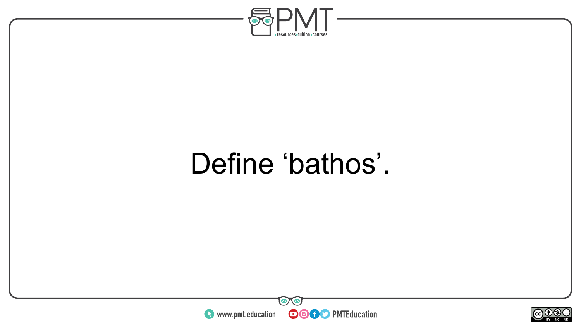

### Define 'bathos'.



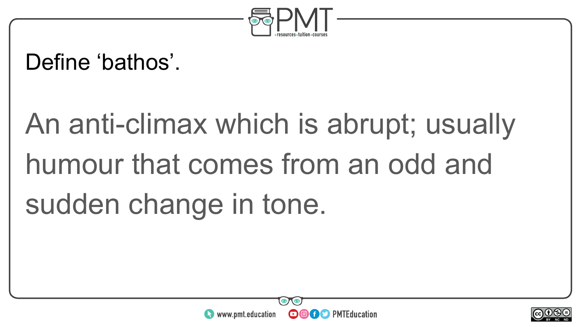

#### Define 'bathos'.

## An anti-climax which is abrupt; usually humour that comes from an odd and sudden change in tone.



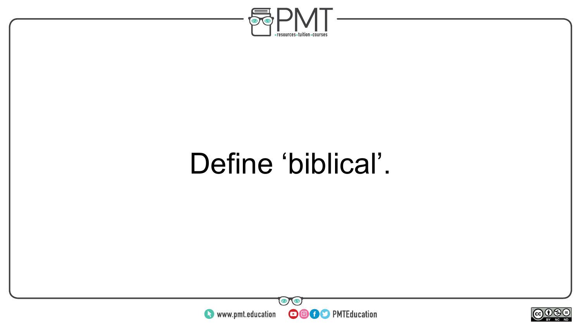

### Define 'biblical'.



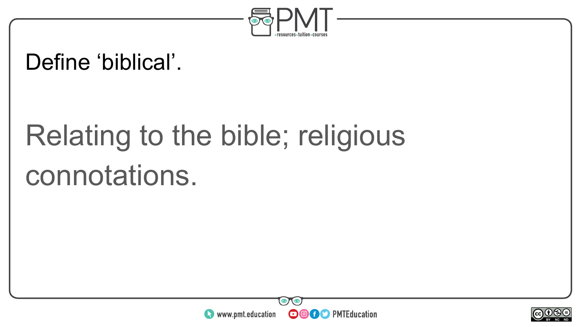

#### Define 'biblical'.

## Relating to the bible; religious connotations.



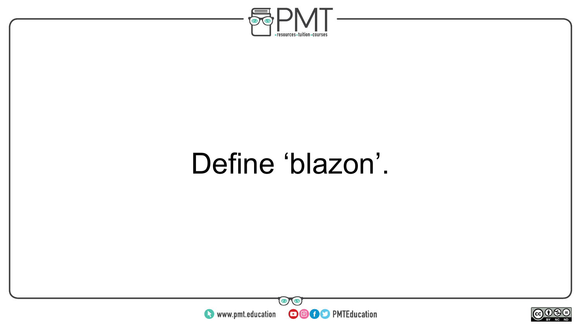

### Define 'blazon'.



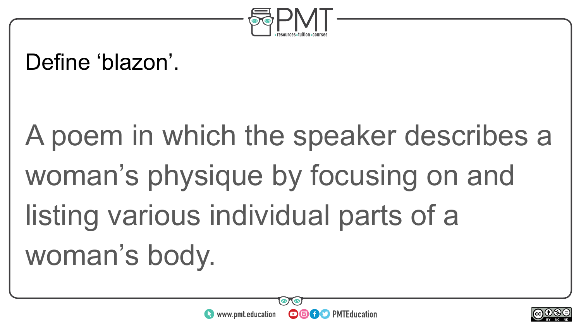

#### Define 'blazon'.

## A poem in which the speaker describes a woman's physique by focusing on and listing various individual parts of a woman's body.



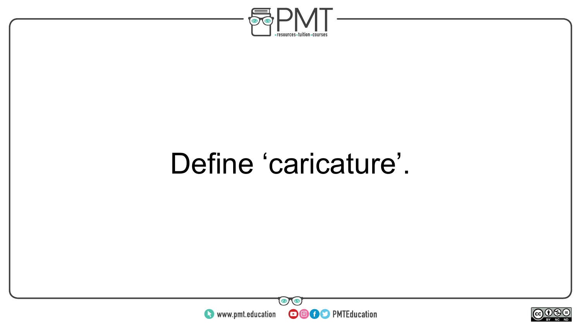

### Define 'caricature'.



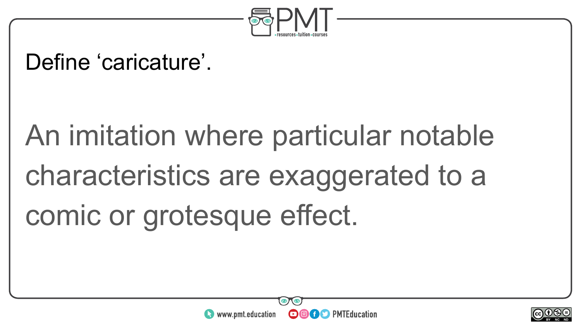

#### Define 'caricature'.

## An imitation where particular notable characteristics are exaggerated to a comic or grotesque effect.



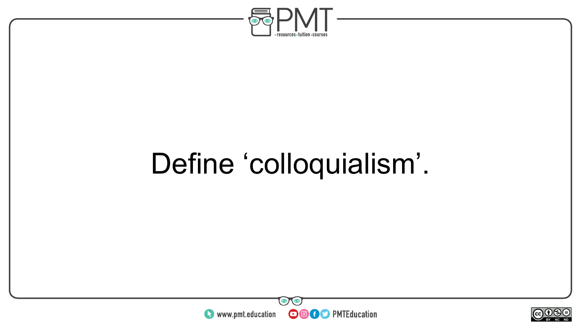

### Define 'colloquialism'.



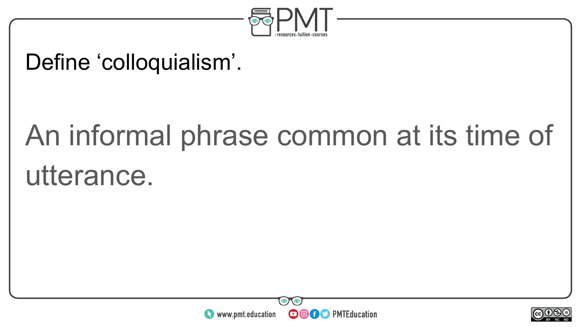

#### Define 'colloquialism'.

## An informal phrase common at its time of utterance.



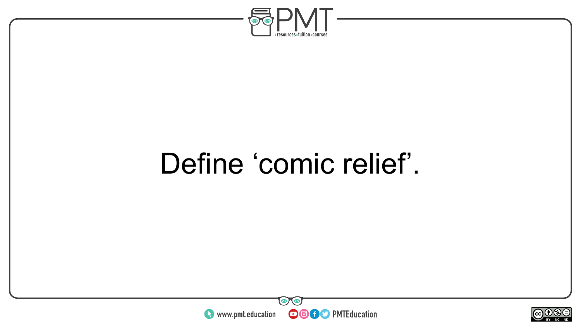

### Define 'comic relief'.



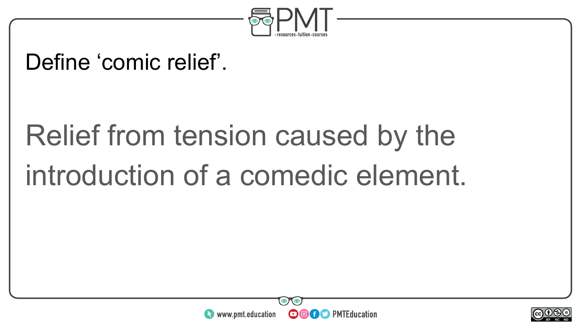

#### Define 'comic relief'.

## Relief from tension caused by the introduction of a comedic element.



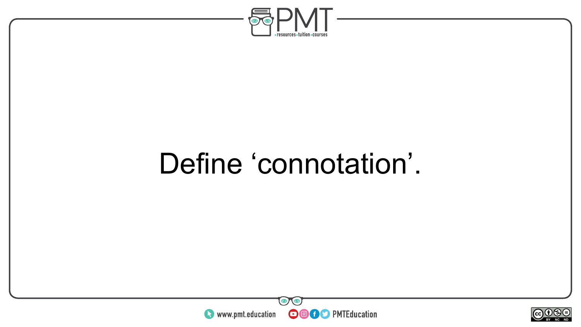

### Define 'connotation'.



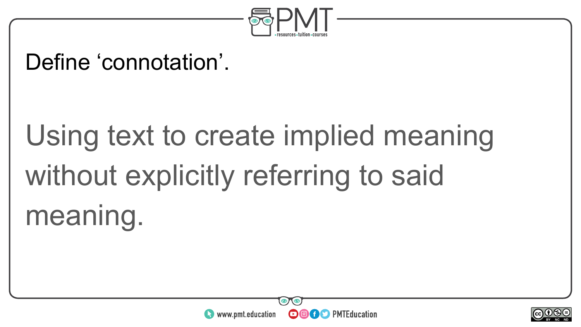

#### Define 'connotation'.

## Using text to create implied meaning without explicitly referring to said meaning.



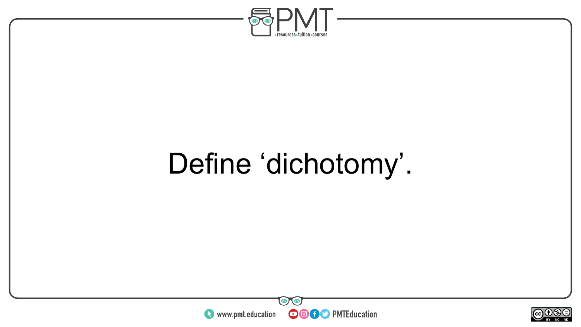

## Define 'dichotomy'.



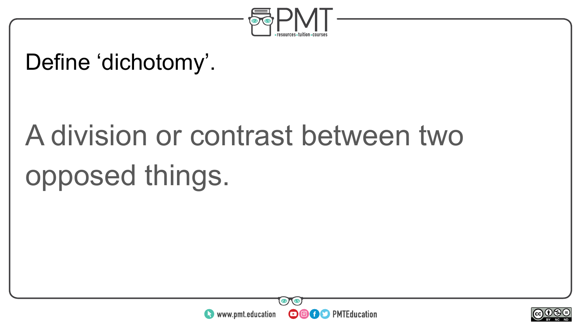

#### Define 'dichotomy'.

## A division or contrast between two opposed things.



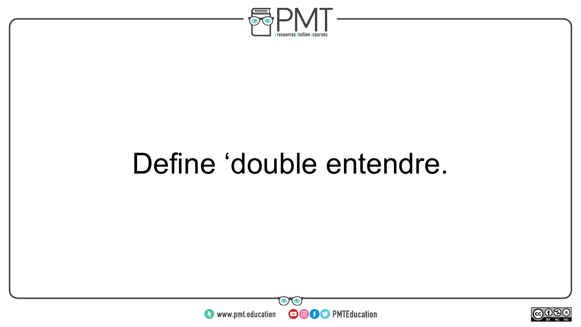

### Define 'double entendre.



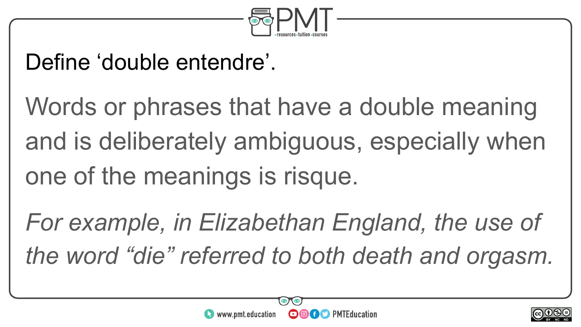

#### Define 'double entendre'.

Words or phrases that have a double meaning and is deliberately ambiguous, especially when one of the meanings is risque.

*For example, in Elizabethan England, the use of the word "die" referred to both death and orgasm.* 



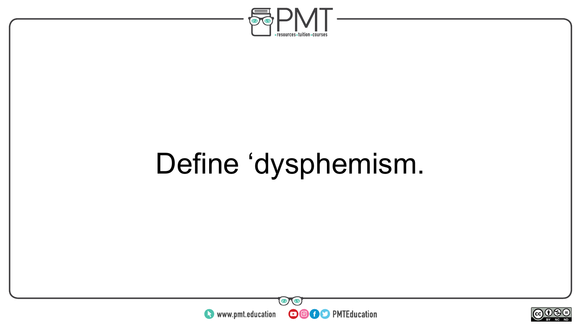

## Define 'dysphemism.



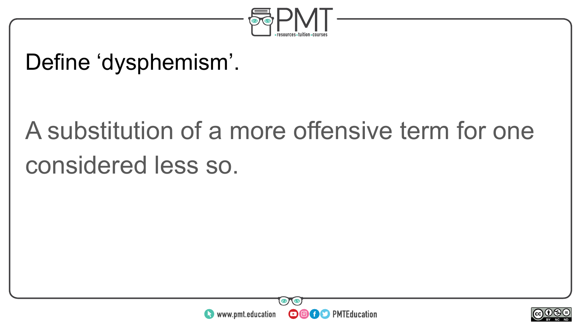

#### Define 'dysphemism'.

### A substitution of a more offensive term for one considered less so.



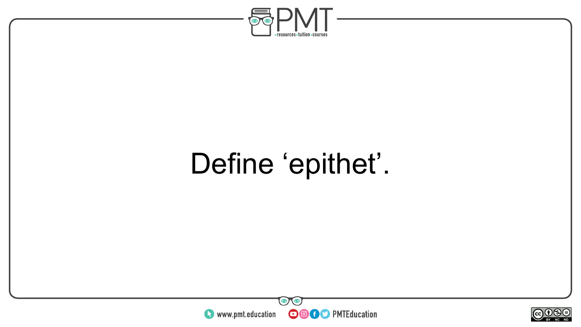

## Define 'epithet'.



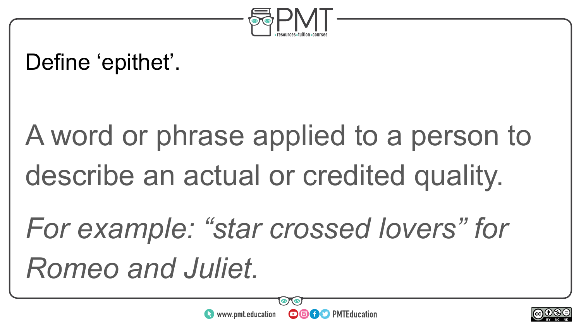

#### Define 'epithet'.

## A word or phrase applied to a person to describe an actual or credited quality.

## *For example: "star crossed lovers" for Romeo and Juliet.*

**OOOO** PMTEducation

 $\bullet$  www.pmt.education

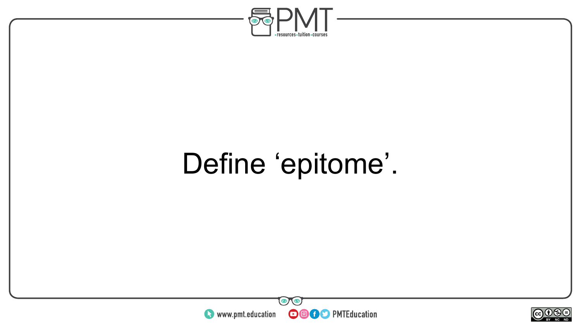

## Define 'epitome'.



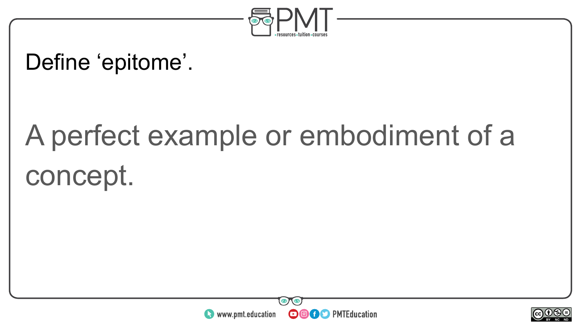

#### Define 'epitome'.

## A perfect example or embodiment of a concept.



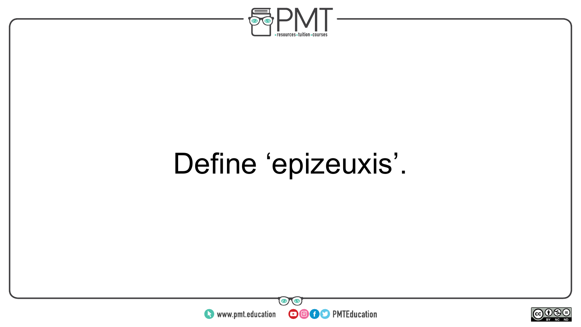

### Define 'epizeuxis'.



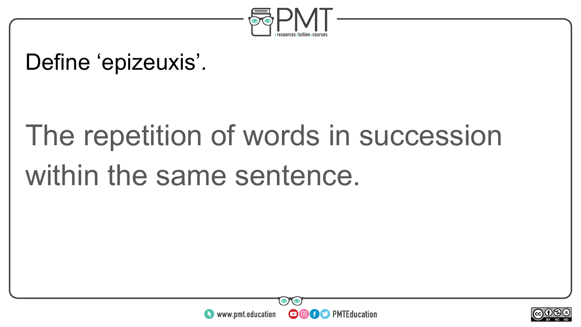

#### Define 'epizeuxis'.

## The repetition of words in succession within the same sentence.



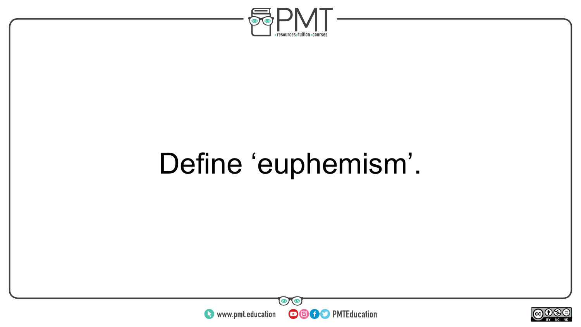

### Define 'euphemism'.



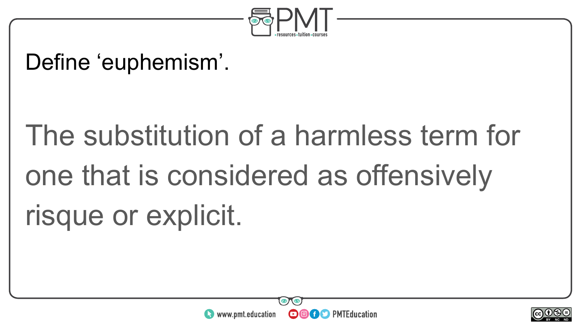

#### Define 'euphemism'.

## The substitution of a harmless term for one that is considered as offensively risque or explicit.



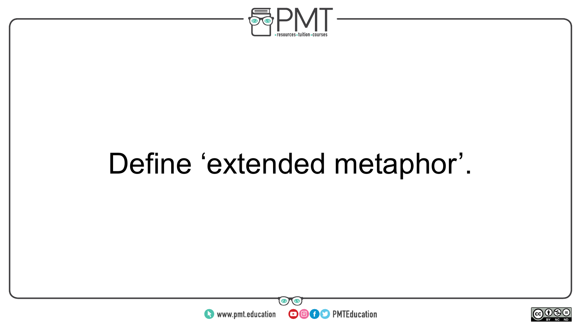

### Define 'extended metaphor'.



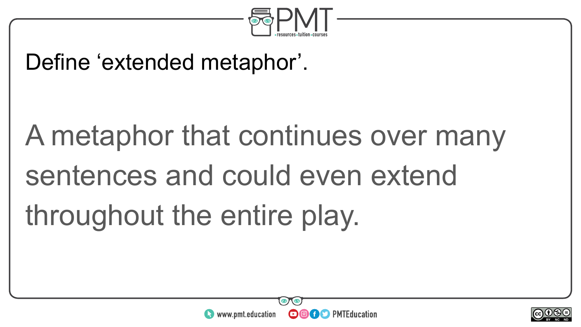

#### Define 'extended metaphor'.

# A metaphor that continues over many sentences and could even extend throughout the entire play.



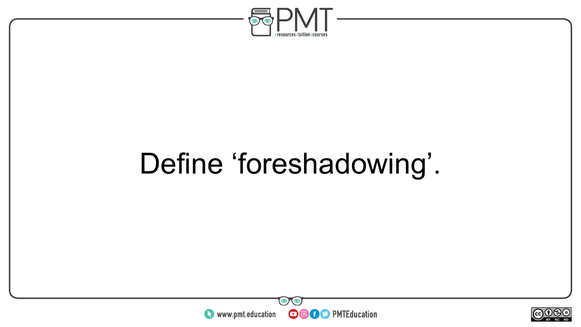

## Define 'foreshadowing'.



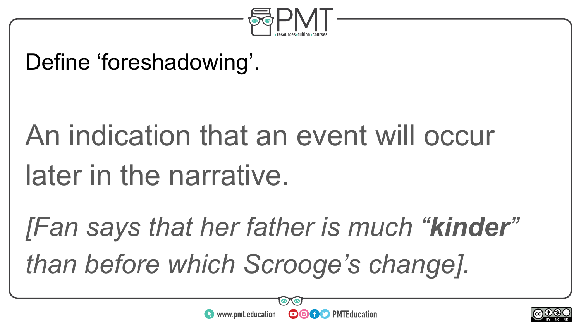

#### Define 'foreshadowing'.

# An indication that an event will occur later in the narrative.

*[Fan says that her father is much "kinder" than before which Scrooge's change].* 



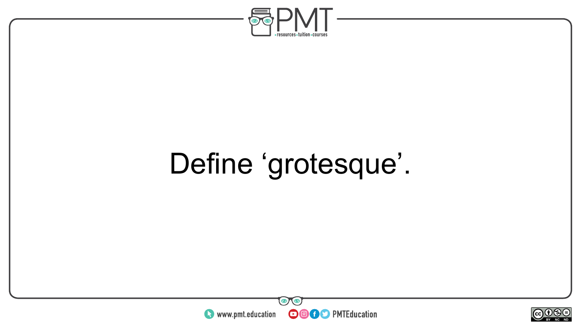

## Define 'grotesque'.



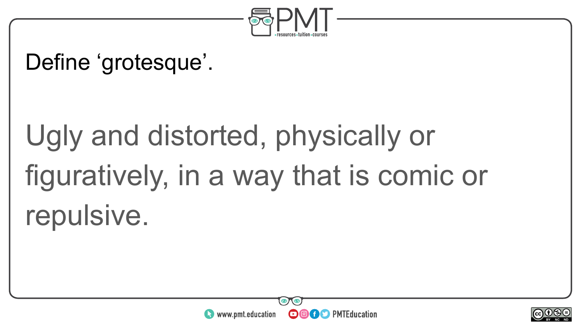

#### Define 'grotesque'.

# Ugly and distorted, physically or figuratively, in a way that is comic or repulsive.



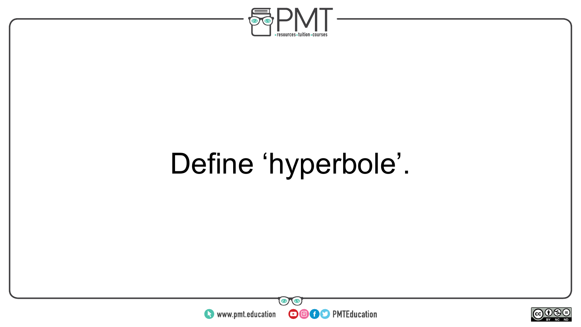

## Define 'hyperbole'.



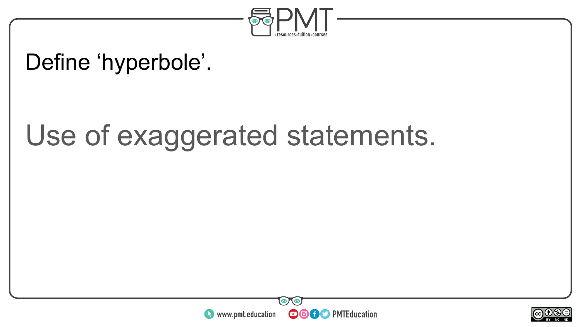

#### Define 'hyperbole'.

### Use of exaggerated statements.



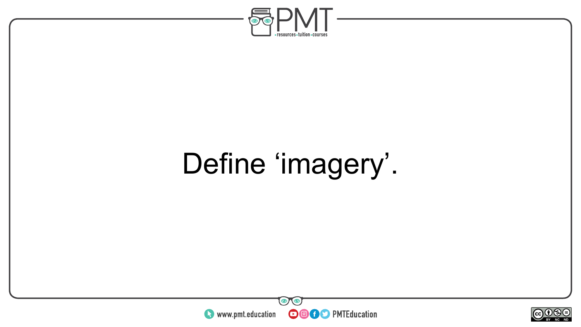

## Define 'imagery'.



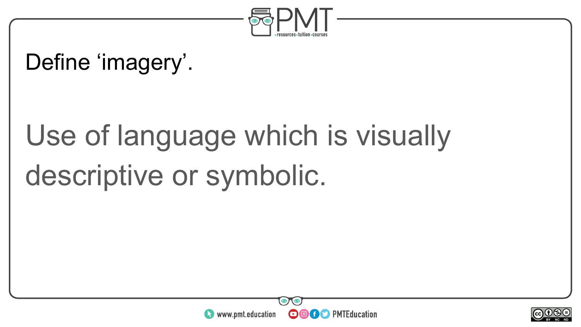

#### Define 'imagery'.

## Use of language which is visually descriptive or symbolic.



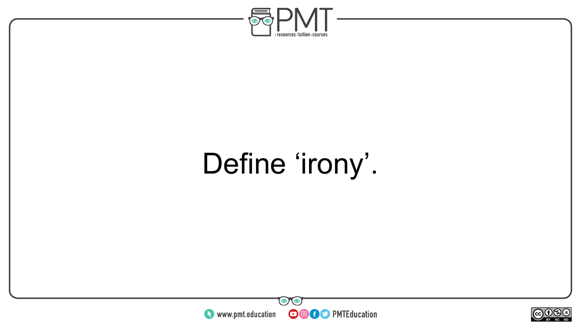

## Define 'irony'.



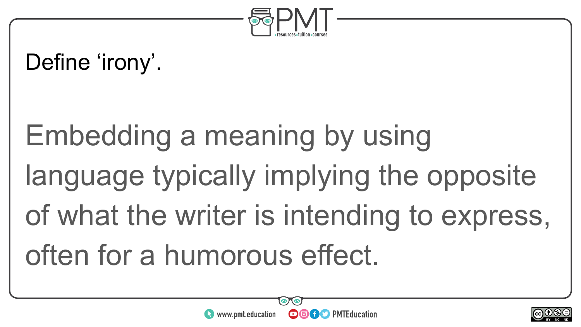

#### Define 'irony'.

# Embedding a meaning by using language typically implying the opposite of what the writer is intending to express, often for a humorous effect.



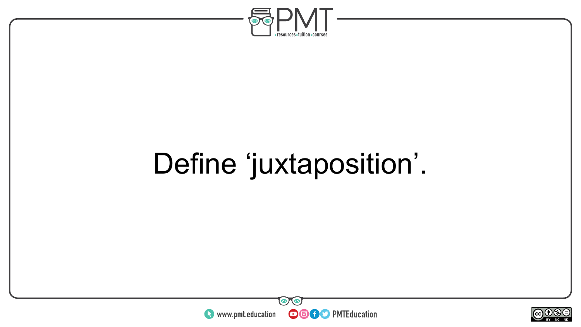

## Define 'juxtaposition'.



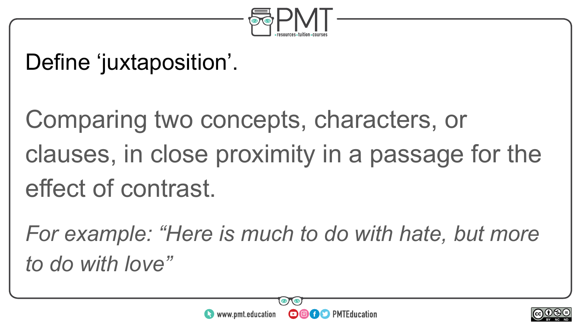

#### Define 'juxtaposition'.

Comparing two concepts, characters, or clauses, in close proximity in a passage for the effect of contrast.

*For example: "Here is much to do with hate, but more to do with love"*



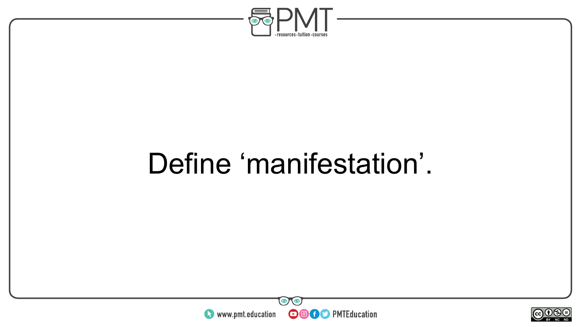

### Define 'manifestation'.



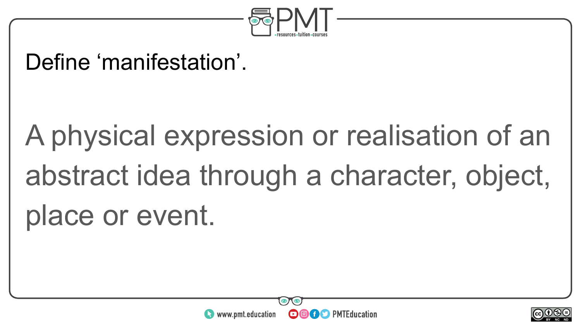

#### Define 'manifestation'.

# A physical expression or realisation of an abstract idea through a character, object, place or event.



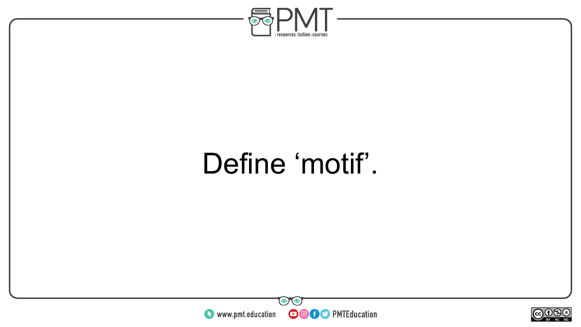

### Define 'motif'.



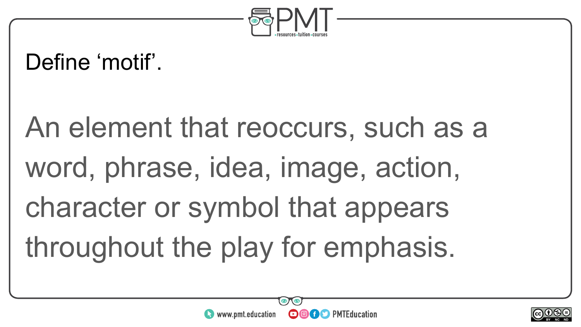

#### Define 'motif'.

An element that reoccurs, such as a word, phrase, idea, image, action, character or symbol that appears throughout the play for emphasis.



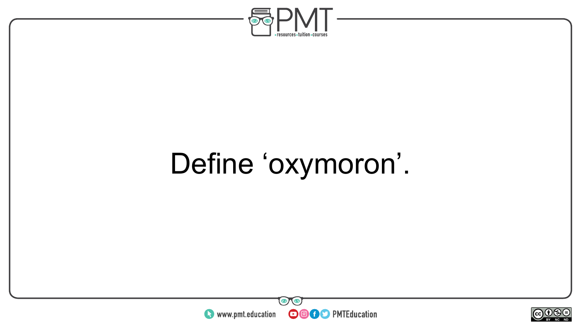

## Define 'oxymoron'.



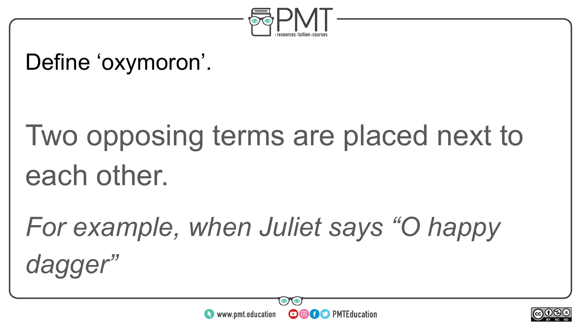

#### Define 'oxymoron'.

## Two opposing terms are placed next to each other.

*For example, when Juliet says "O happy dagger"*



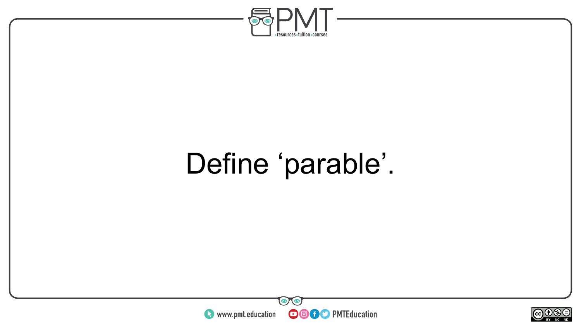

### Define 'parable'.



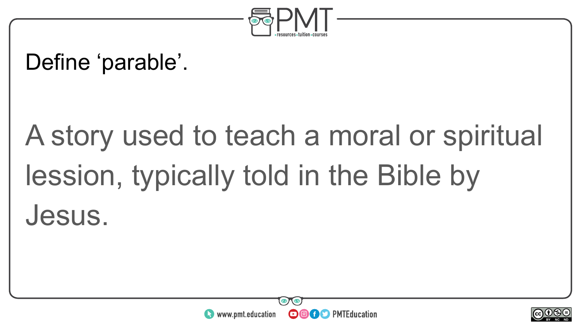

#### Define 'parable'.

# A story used to teach a moral or spiritual lession, typically told in the Bible by Jesus.



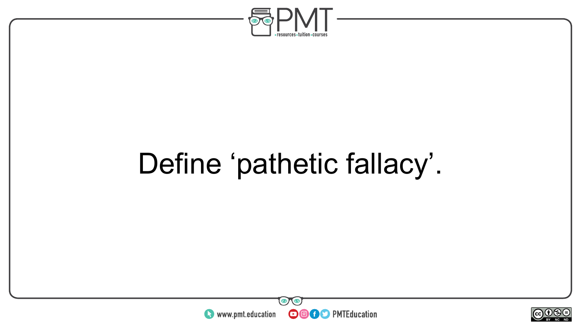

## Define 'pathetic fallacy'.



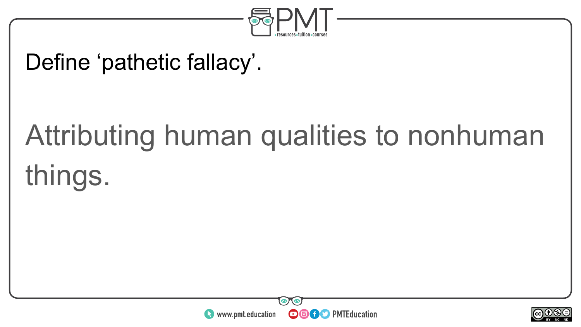

#### Define 'pathetic fallacy'.

# Attributing human qualities to nonhuman things.



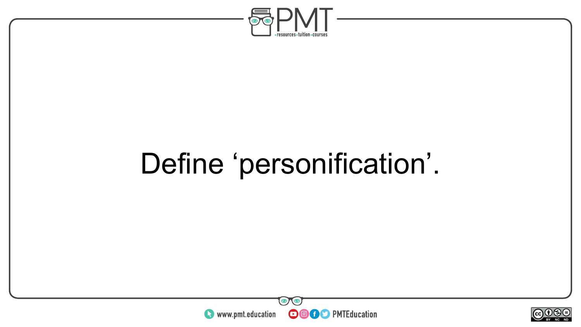

## Define 'personification'.



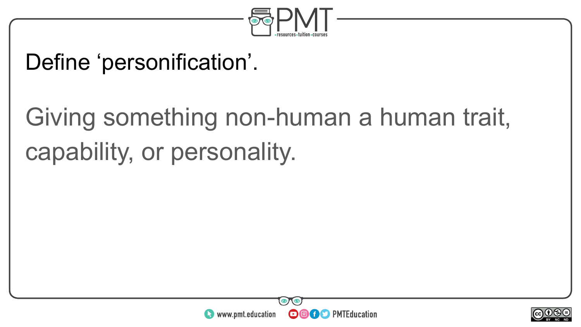

#### Define 'personification'.

### Giving something non-human a human trait, capability, or personality.



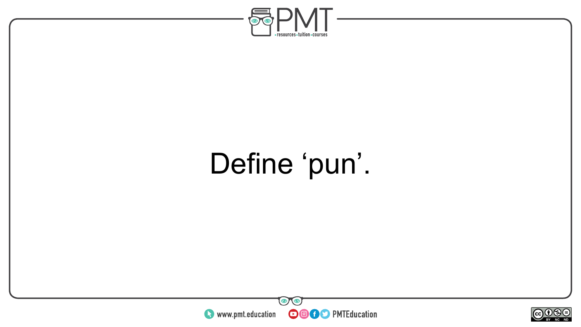

## Define 'pun'.



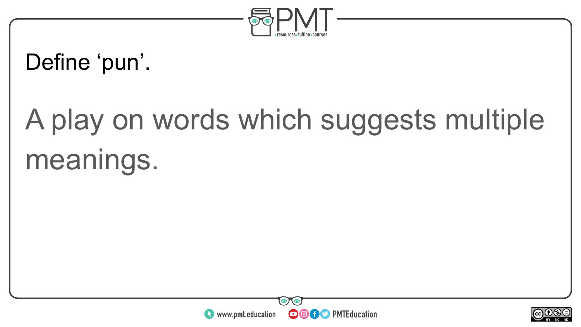

#### Define 'pun'.

# A play on words which suggests multiple meanings.



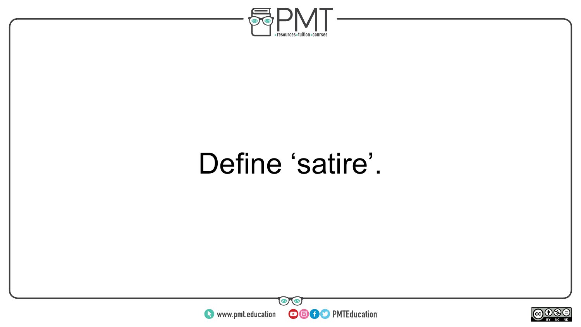

### Define 'satire'.



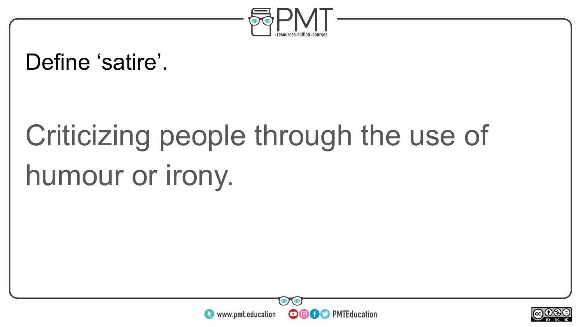

#### Define 'satire'.

# Criticizing people through the use of humour or irony.



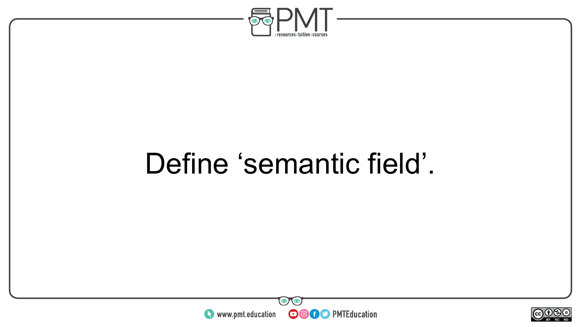

### Define 'semantic field'.



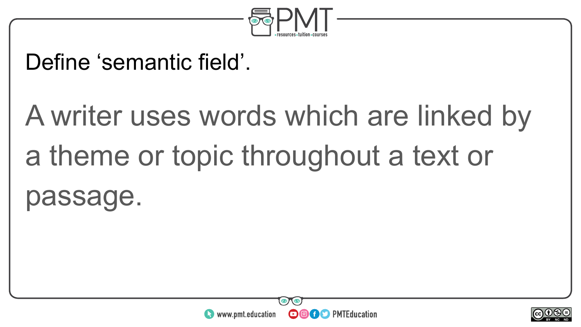

#### Define 'semantic field'.

# A writer uses words which are linked by a theme or topic throughout a text or passage.



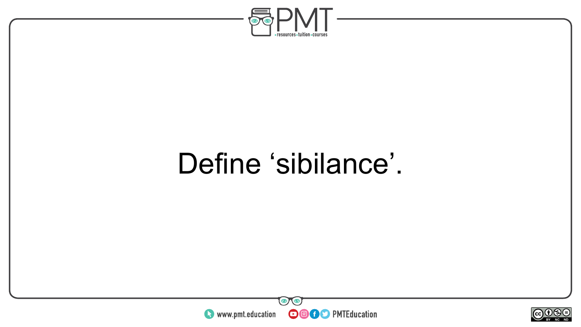

### Define 'sibilance'.



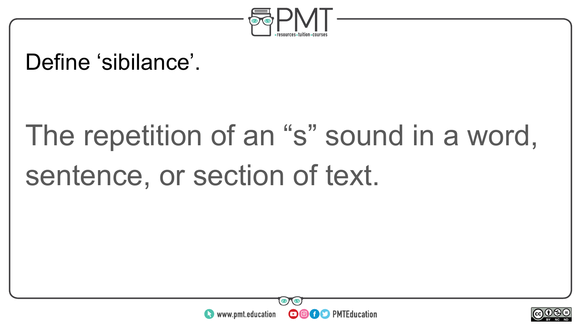

#### Define 'sibilance'.

# The repetition of an "s" sound in a word, sentence, or section of text.



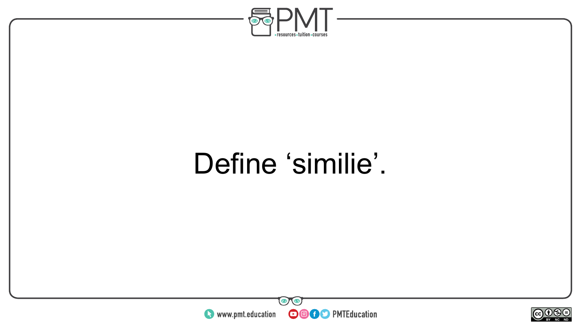

### Define 'similie'.



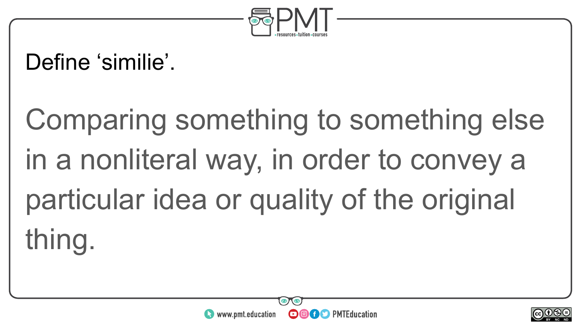

#### Define 'similie'.

# Comparing something to something else in a nonliteral way, in order to convey a particular idea or quality of the original thing.



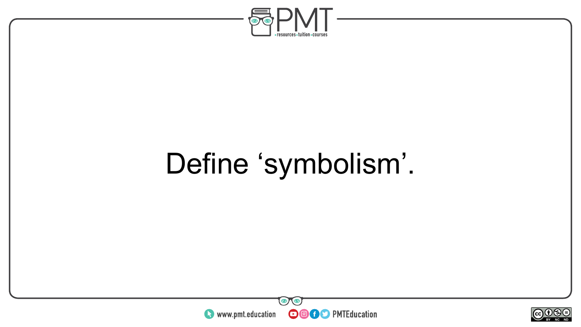

## Define 'symbolism'.



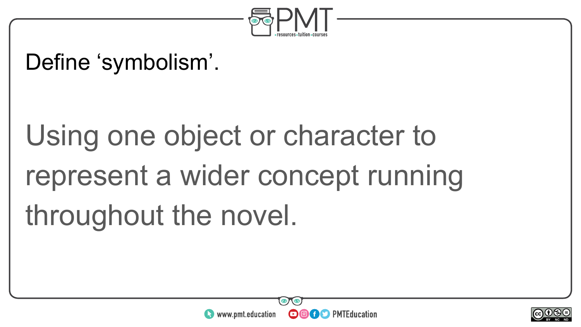

#### Define 'symbolism'.

# Using one object or character to represent a wider concept running throughout the novel.



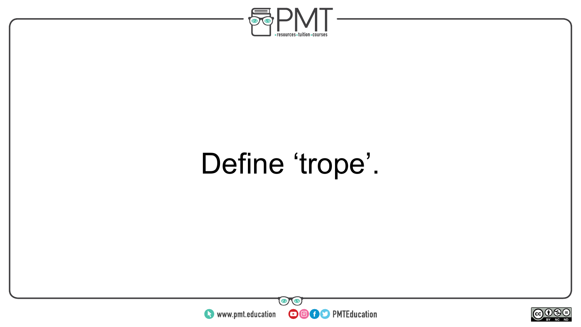

### Define 'trope'.



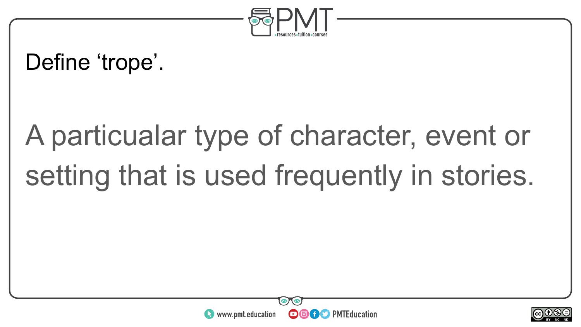

#### Define 'trope'.

## A particualar type of character, event or setting that is used frequently in stories.



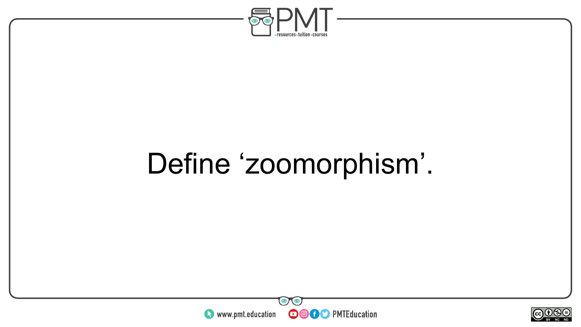

### Define 'zoomorphism'.



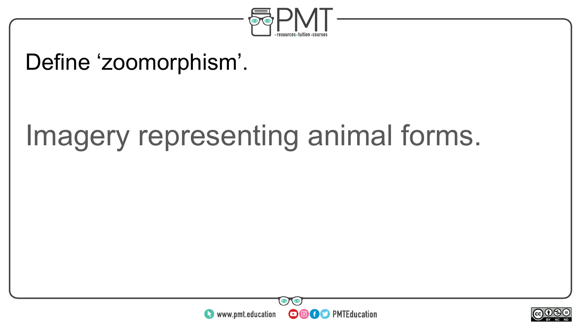

#### Define 'zoomorphism'.

### Imagery representing animal forms.



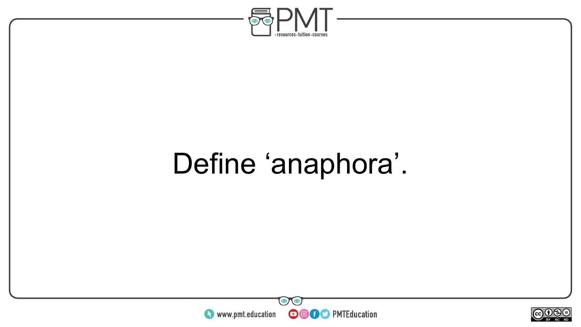

## Define 'anaphora'.



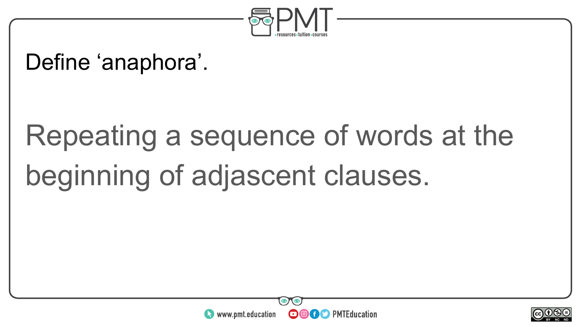

#### Define 'anaphora'.

## Repeating a sequence of words at the beginning of adjascent clauses.



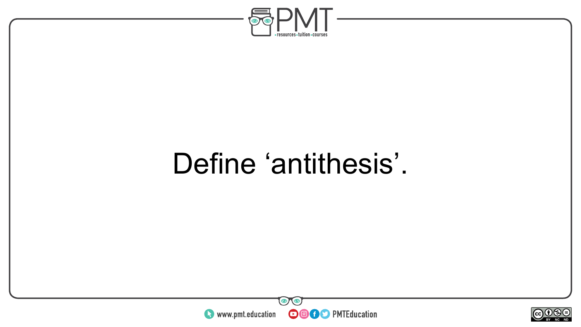

### Define 'antithesis'.



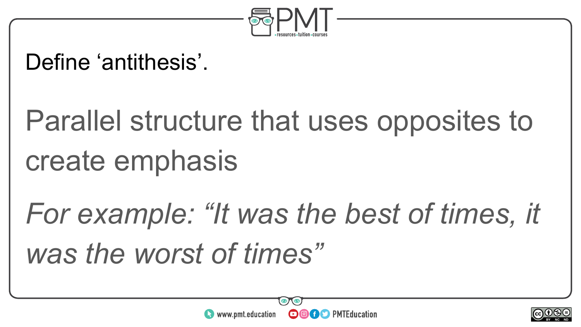

### Define 'antithesis'.

## Parallel structure that uses opposites to create emphasis

## *For example: "It was the best of times, it was the worst of times"*



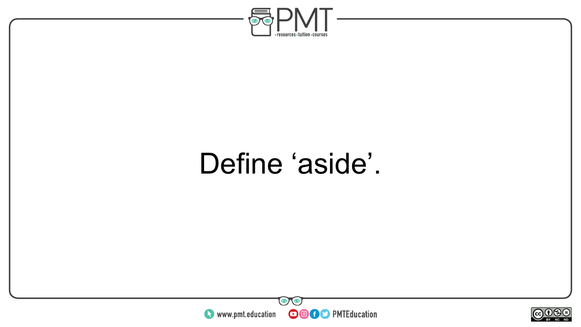

### Define 'aside'.



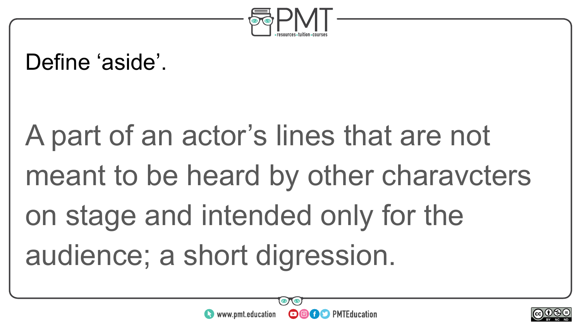

#### Define 'aside'.

# A part of an actor's lines that are not meant to be heard by other charavcters on stage and intended only for the audience; a short digression.



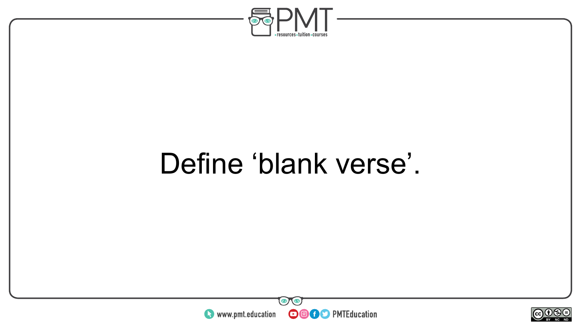

### Define 'blank verse'.



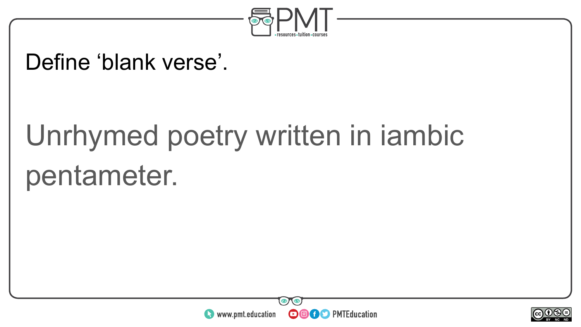

#### Define 'blank verse'.

## Unrhymed poetry written in iambic pentameter.



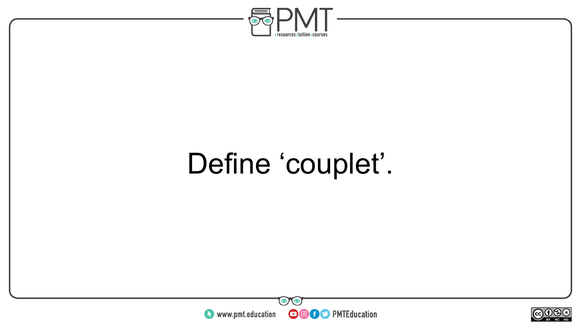

## Define 'couplet'.



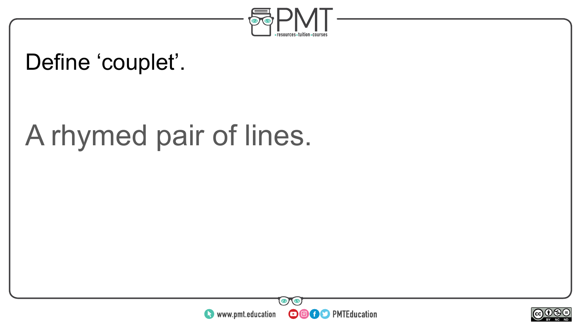

### Define 'couplet'.

### A rhymed pair of lines.



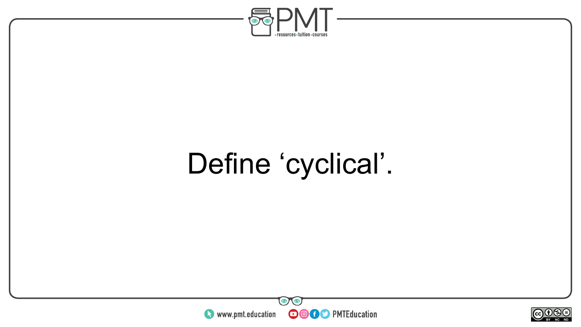

## Define 'cyclical'.



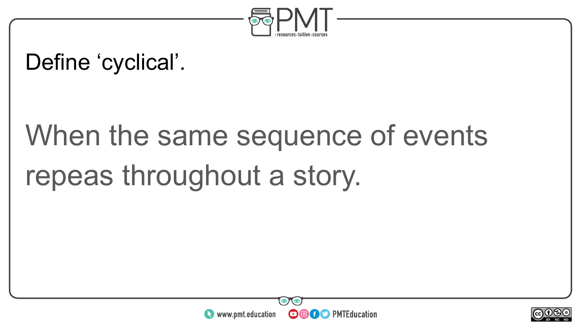

### Define 'cyclical'.

## When the same sequence of events repeas throughout a story.



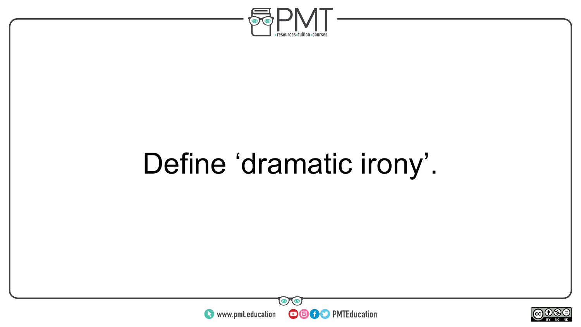

## Define 'dramatic irony'.



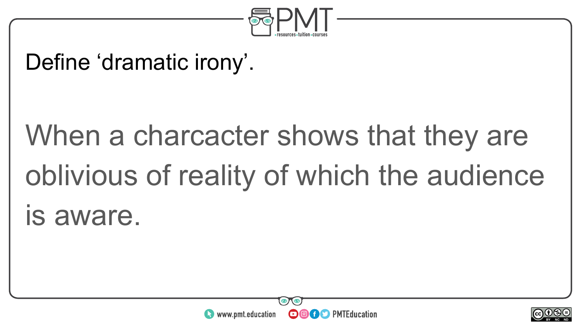

#### Define 'dramatic irony'.

## When a charcacter shows that they are oblivious of reality of which the audience is aware.



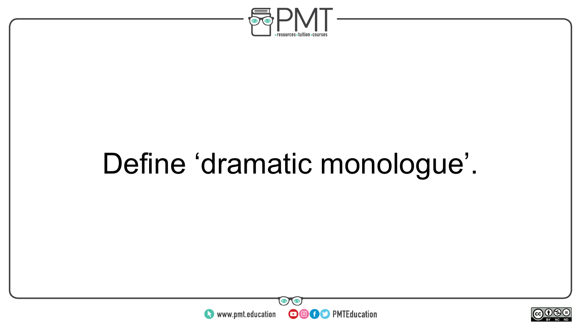

### Define 'dramatic monologue'.



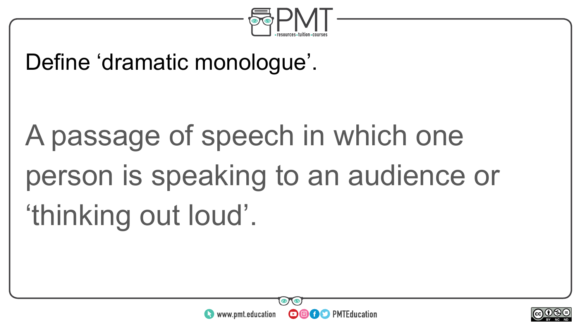

#### Define 'dramatic monologue'.

## A passage of speech in which one person is speaking to an audience or 'thinking out loud'.



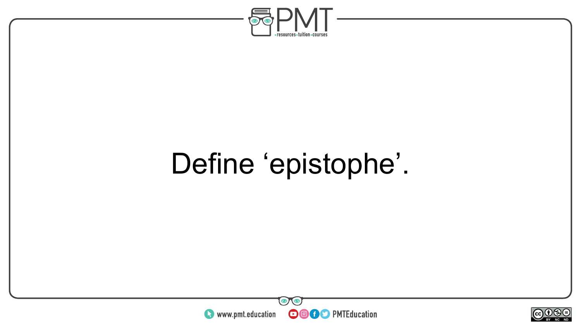

## Define 'epistophe'.



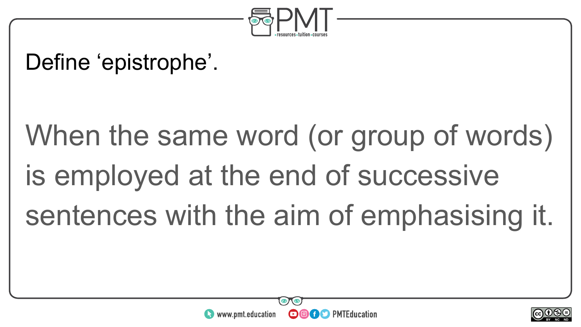

#### Define 'epistrophe'.

# When the same word (or group of words) is employed at the end of successive sentences with the aim of emphasising it.



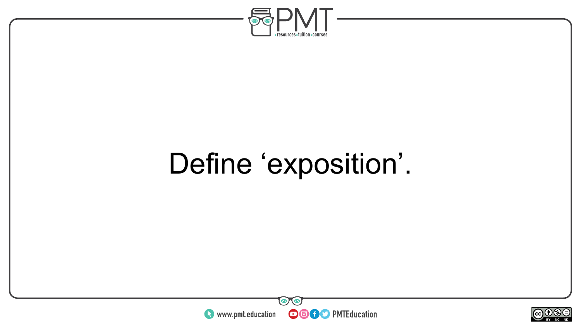

## Define 'exposition'.



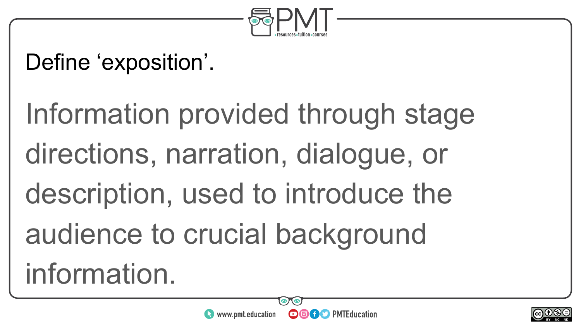

### Define 'exposition'.

Information provided through stage directions, narration, dialogue, or description, used to introduce the audience to crucial background information.



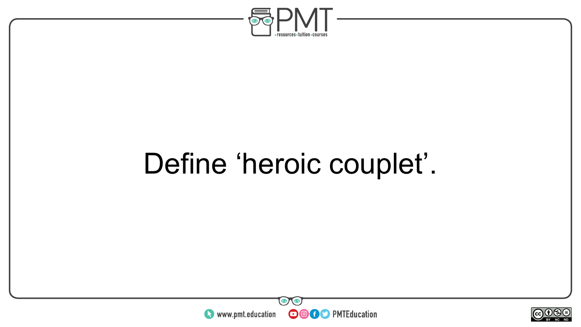

## Define 'heroic couplet'.



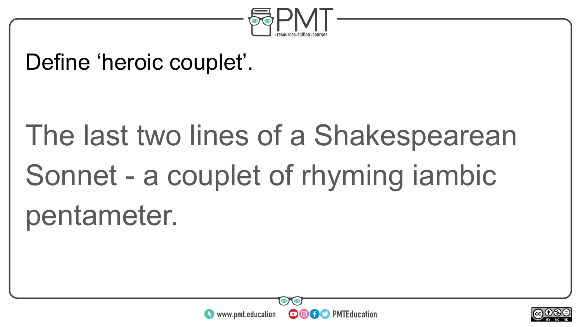

#### Define 'heroic couplet'.

## The last two lines of a Shakespearean Sonnet - a couplet of rhyming iambic pentameter.



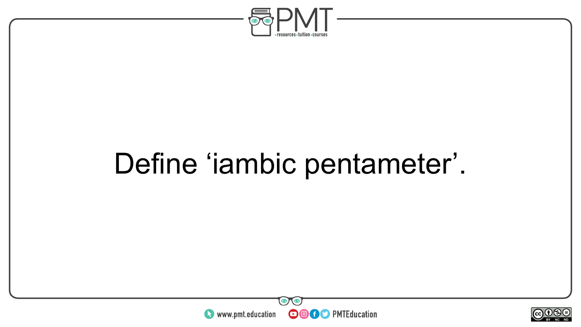

## Define 'iambic pentameter'.



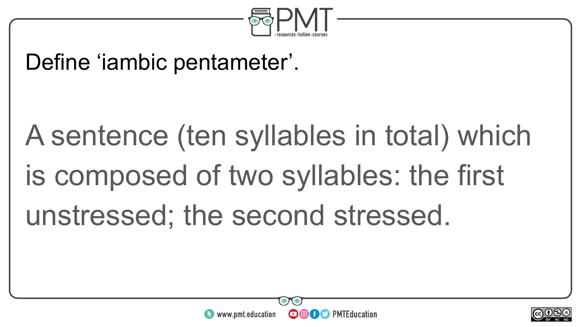

#### Define 'iambic pentameter'.

# A sentence (ten syllables in total) which is composed of two syllables: the first unstressed; the second stressed.



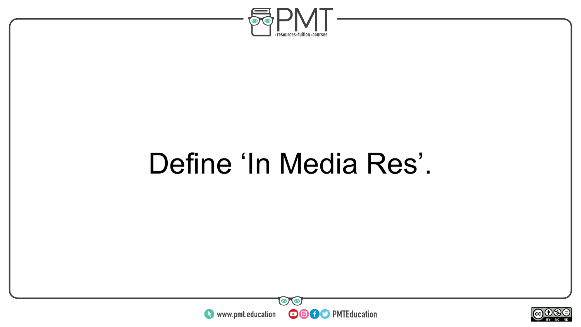

### Define 'In Media Res'.



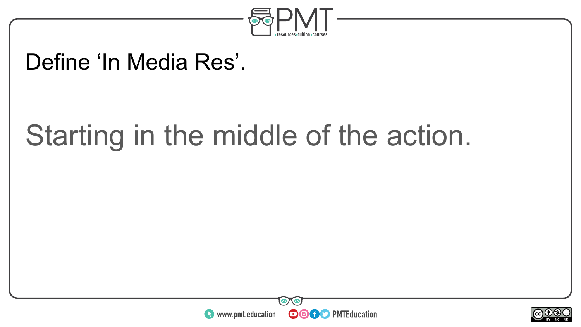

#### Define 'In Media Res'.

### Starting in the middle of the action.



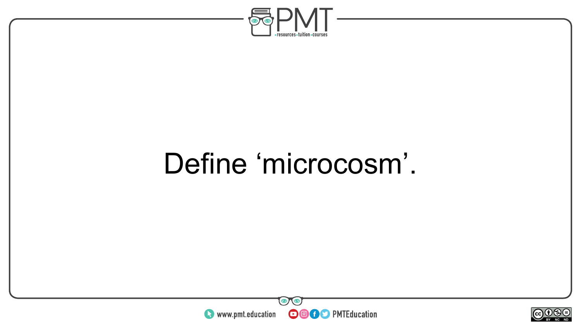

### Define 'microcosm'.



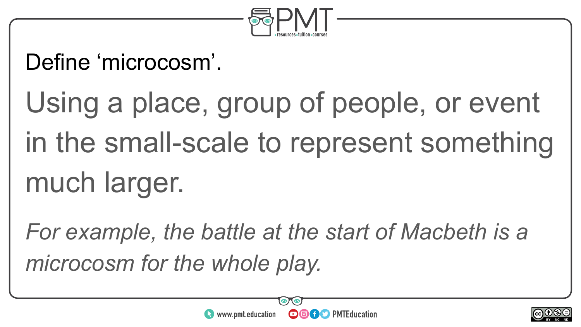

### Define 'microcosm'.

Using a place, group of people, or event in the small-scale to represent something much larger.

*For example, the battle at the start of Macbeth is a microcosm for the whole play.*



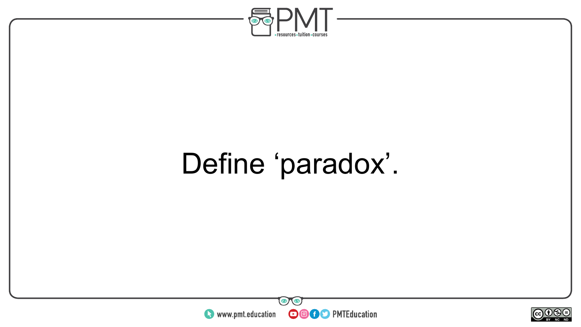

### Define 'paradox'.



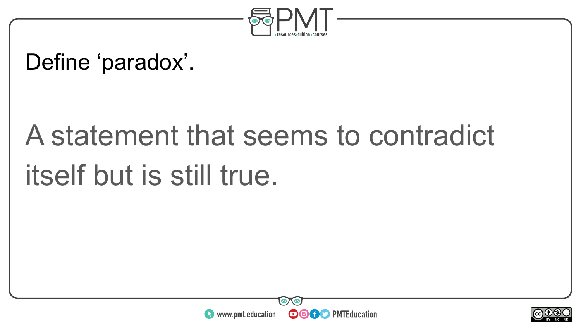

#### Define 'paradox'.

## A statement that seems to contradict itself but is still true.



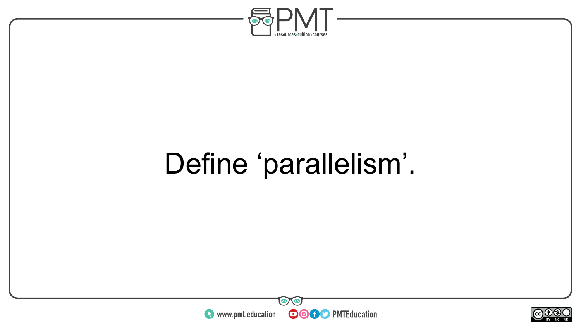

## Define 'parallelism'.



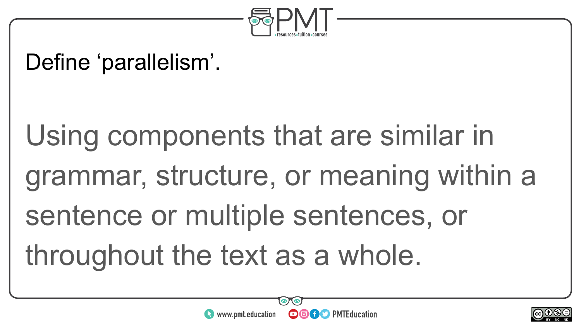

#### Define 'parallelism'.

Using components that are similar in grammar, structure, or meaning within a sentence or multiple sentences, or throughout the text as a whole.

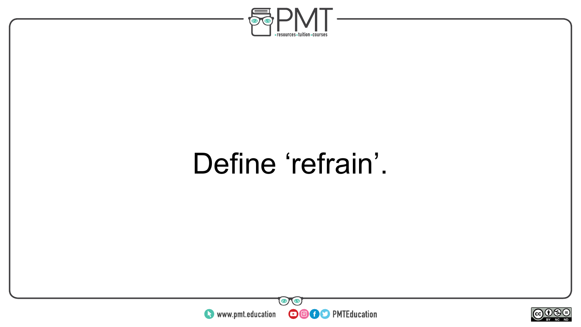

### Define 'refrain'.



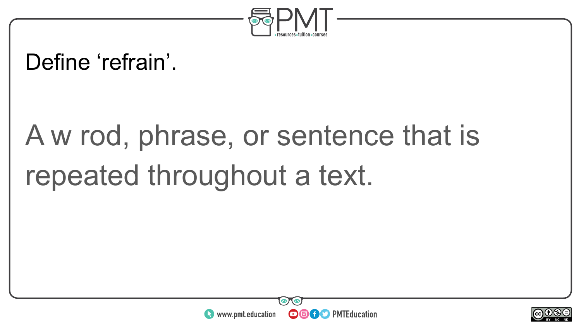

#### Define 'refrain'.

# A w rod, phrase, or sentence that is repeated throughout a text.



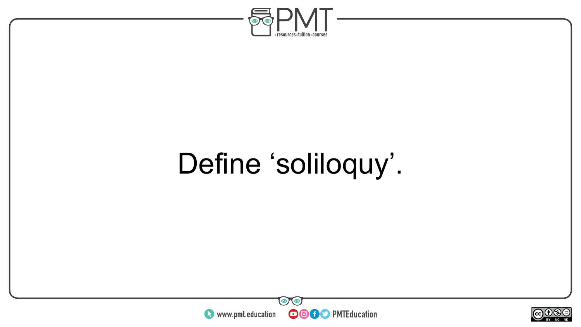

## Define 'soliloquy'.



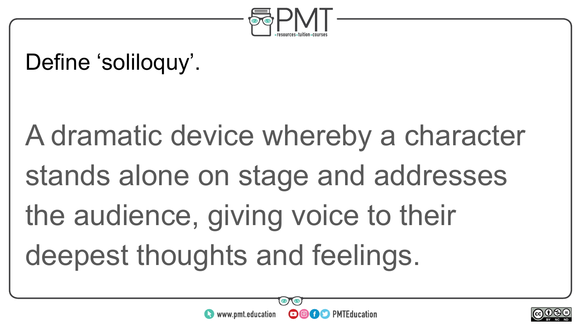

#### Define 'soliloquy'.

# A dramatic device whereby a character stands alone on stage and addresses the audience, giving voice to their deepest thoughts and feelings.



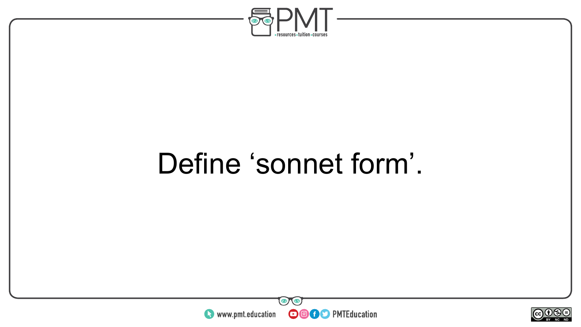

### Define 'sonnet form'.



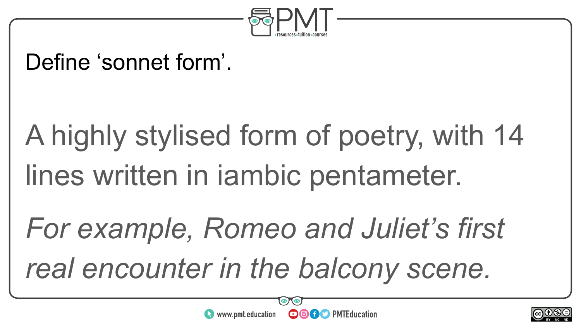

#### Define 'sonnet form'.

# A highly stylised form of poetry, with 14 lines written in iambic pentameter.

*For example, Romeo and Juliet's first real encounter in the balcony scene.*





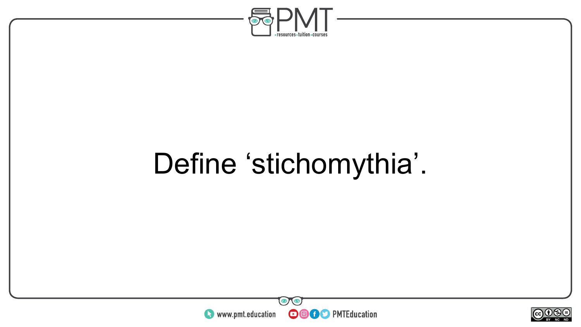

## Define 'stichomythia'.



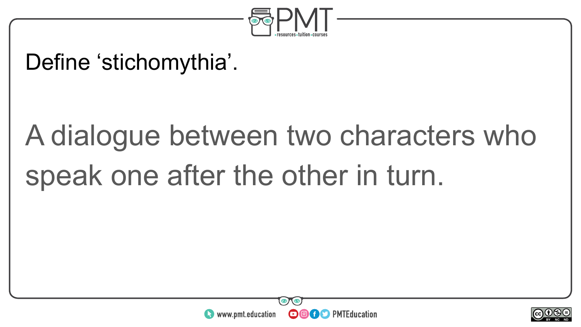

#### Define 'stichomythia'.

# A dialogue between two characters who speak one after the other in turn.



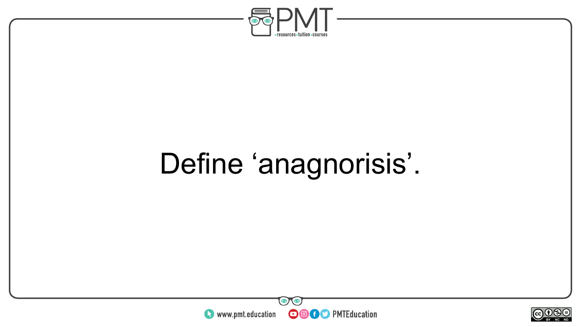

## Define 'anagnorisis'.



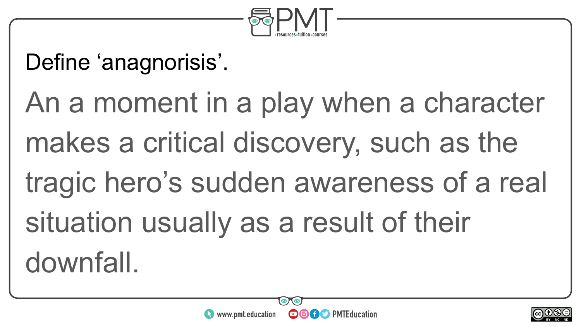

#### Define 'anagnorisis'.

An a moment in a play when a character makes a critical discovery, such as the tragic hero's sudden awareness of a real situation usually as a result of their downfall.



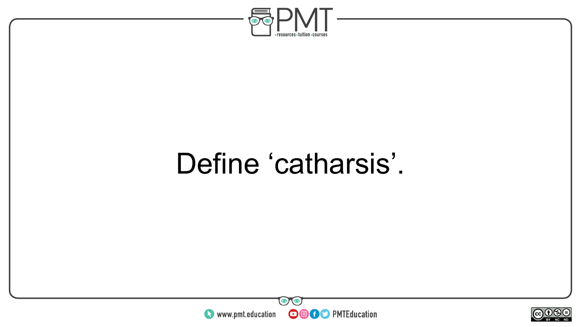

### Define 'catharsis'.



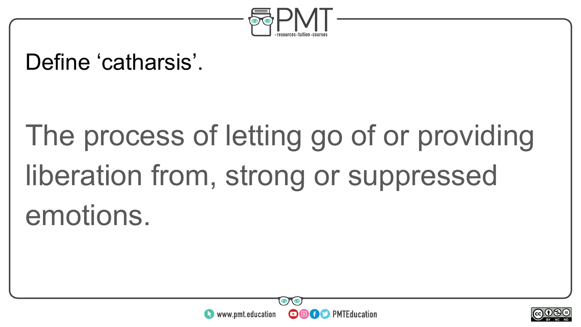

#### Define 'catharsis'.

# The process of letting go of or providing liberation from, strong or suppressed emotions.



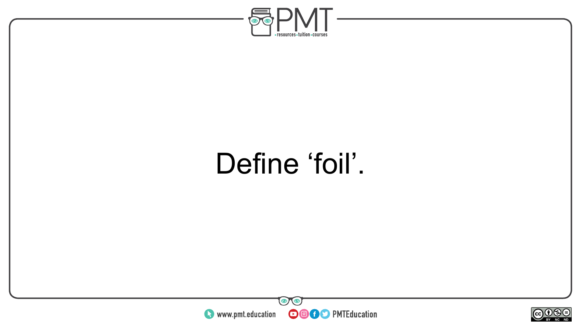

### Define 'foil'.



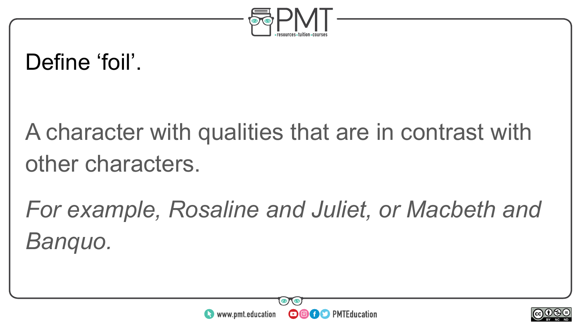

#### Define 'foil'.

A character with qualities that are in contrast with other characters.

*For example, Rosaline and Juliet, or Macbeth and Banquo.*



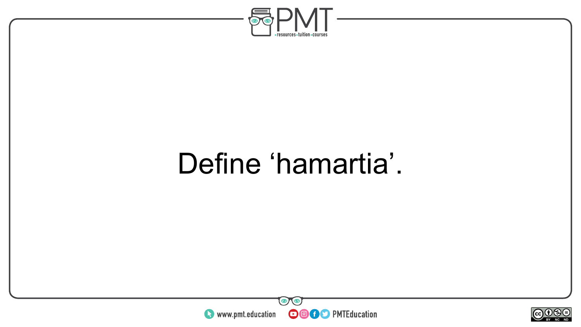

### Define 'hamartia'.



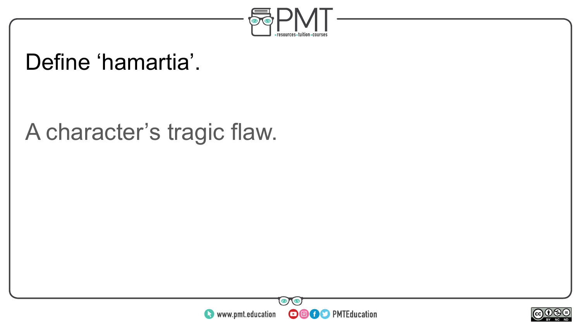

#### Define 'hamartia'.

#### A character's tragic flaw.



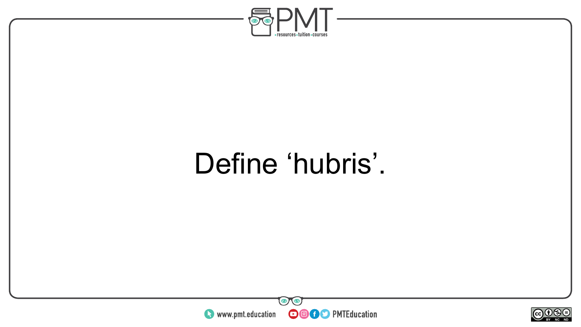

### Define 'hubris'.



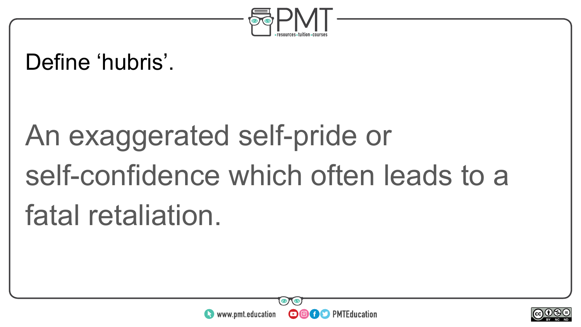

#### Define 'hubris'.

# An exaggerated self-pride or self-confidence which often leads to a fatal retaliation.



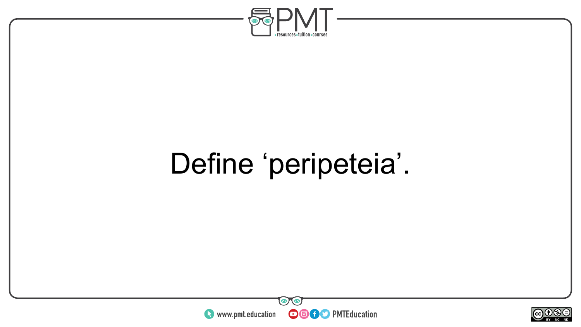

## Define 'peripeteia'.



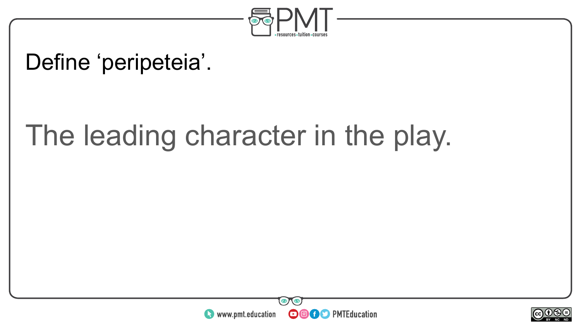

#### Define 'peripeteia'.

### The leading character in the play.



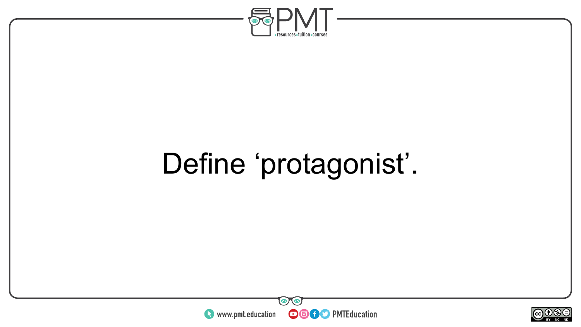

## Define 'protagonist'.



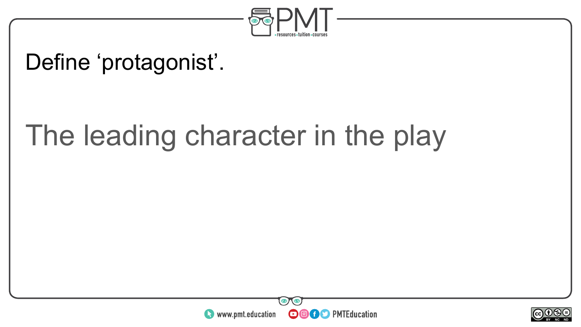

#### Define 'protagonist'.

### The leading character in the play



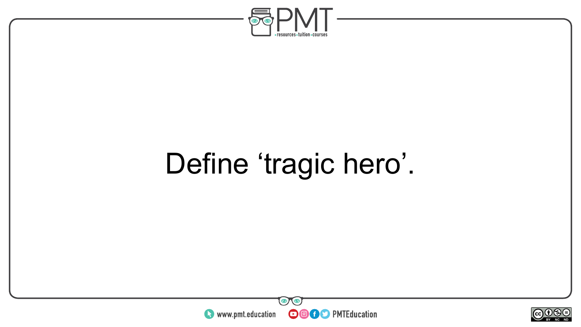

## Define 'tragic hero'.



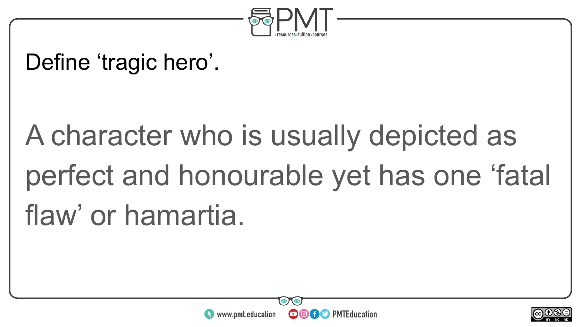

#### Define 'tragic hero'.

# A character who is usually depicted as perfect and honourable yet has one 'fatal flaw' or hamartia.



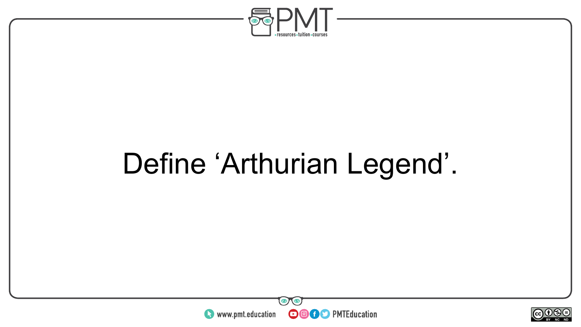

## Define 'Arthurian Legend'.



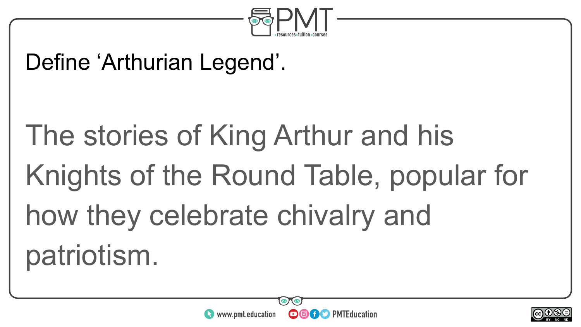

#### Define 'Arthurian Legend'.

# The stories of King Arthur and his Knights of the Round Table, popular for how they celebrate chivalry and patriotism.



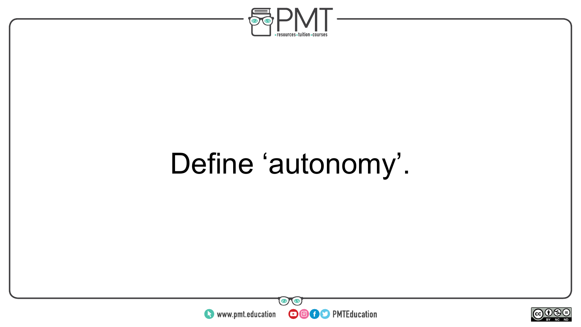

## Define 'autonomy'.



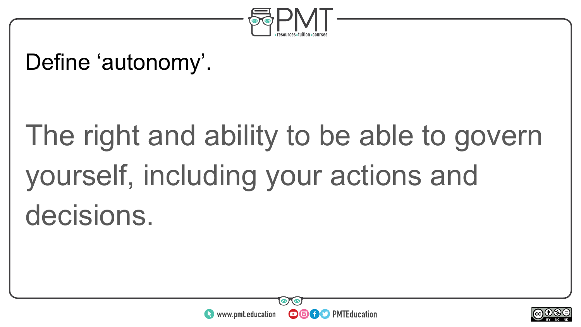

#### Define 'autonomy'.

# The right and ability to be able to govern yourself, including your actions and decisions.



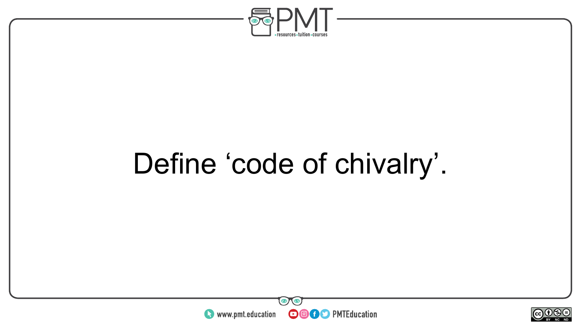

## Define 'code of chivalry'.



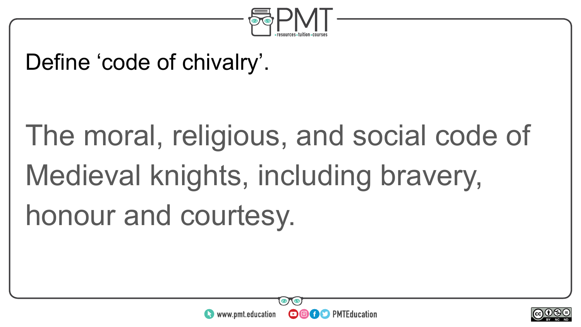

#### Define 'code of chivalry'.

# The moral, religious, and social code of Medieval knights, including bravery, honour and courtesy.



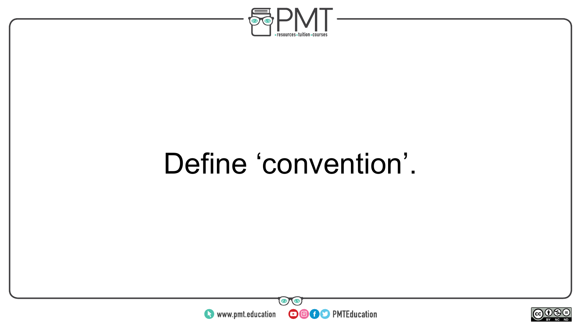

### Define 'convention'.



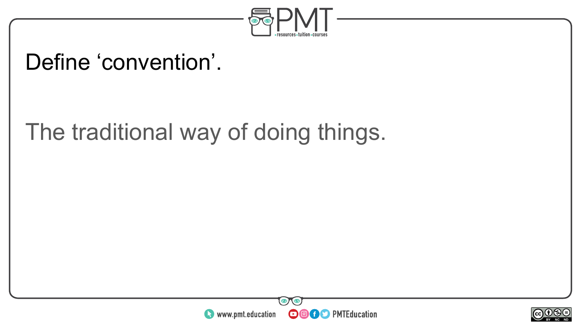

#### Define 'convention'.

The traditional way of doing things.



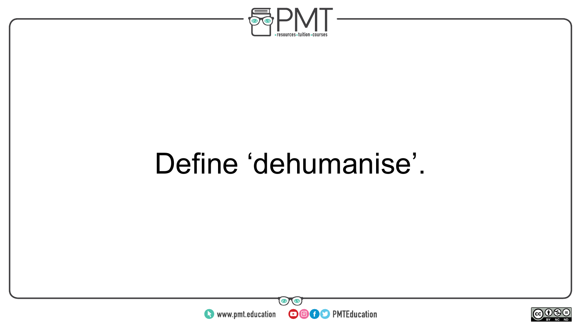

### Define 'dehumanise'.



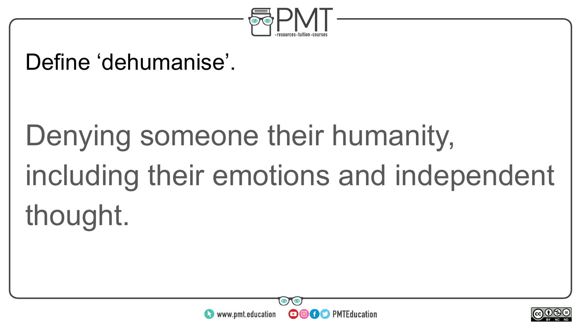

#### Define 'dehumanise'.

# Denying someone their humanity, including their emotions and independent thought.



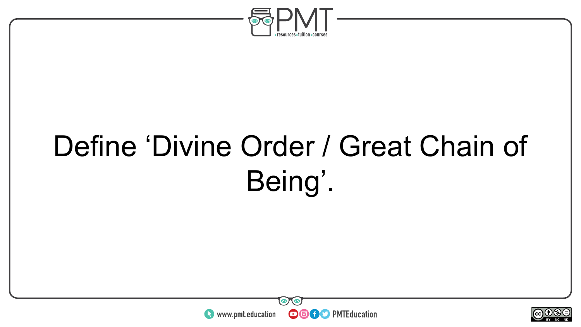

## Define 'Divine Order / Great Chain of Being'.



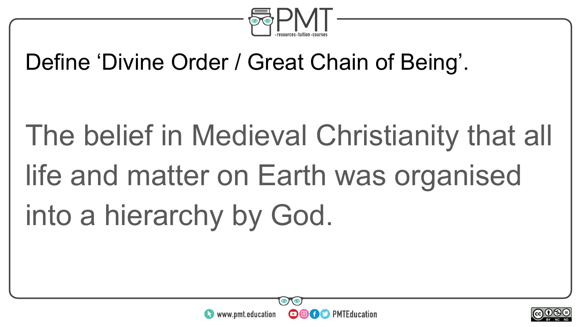

#### Define 'Divine Order / Great Chain of Being'.

# The belief in Medieval Christianity that all life and matter on Earth was organised into a hierarchy by God.



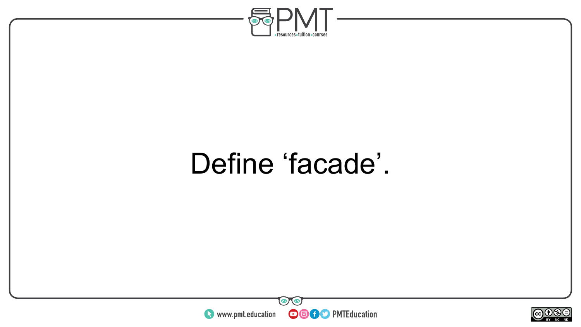

### Define 'facade'.



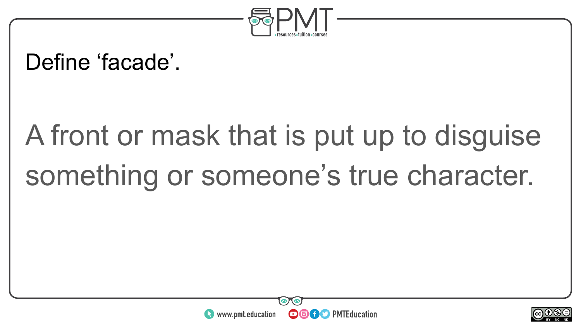

#### Define 'facade'.

# A front or mask that is put up to disguise something or someone's true character.



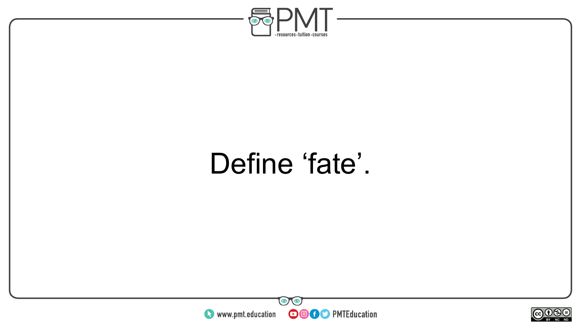

### Define 'fate'.



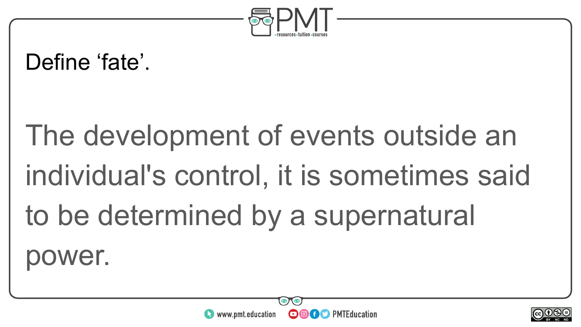

#### Define 'fate'.

# The development of events outside an individual's control, it is sometimes said to be determined by a supernatural ver.



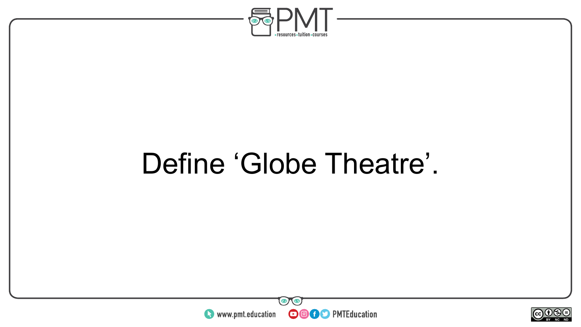

### Define 'Globe Theatre'.



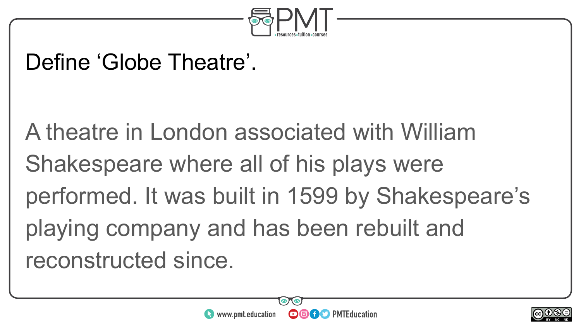

#### Define 'Globe Theatre'.

A theatre in London associated with William Shakespeare where all of his plays were performed. It was built in 1599 by Shakespeare's playing company and has been rebuilt and reconstructed since.



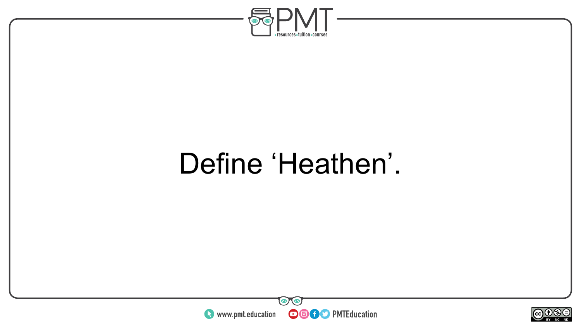

### Define 'Heathen'.



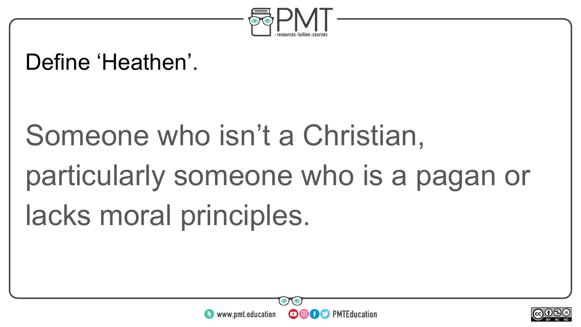

#### Define 'Heathen'.

# Someone who isn't a Christian, particularly someone who is a pagan or lacks moral principles.



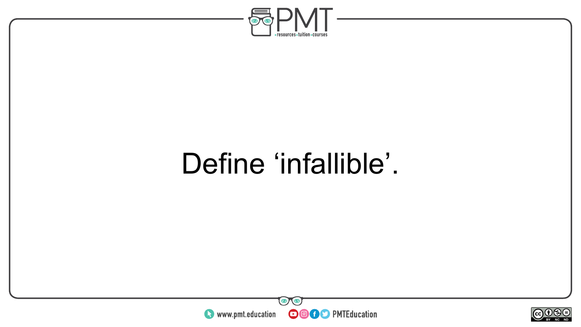

### Define 'infallible'.



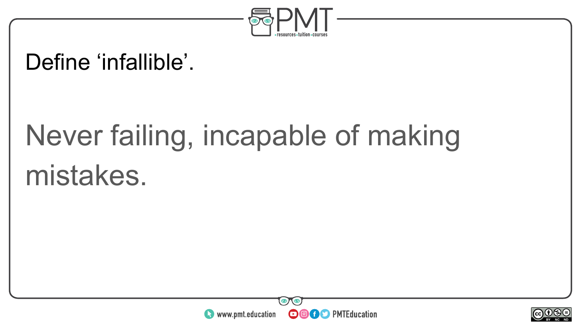

#### Define 'infallible'.

## Never failing, incapable of making mistakes.



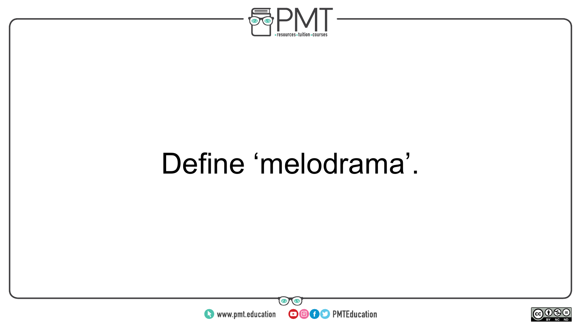

### Define 'melodrama'.



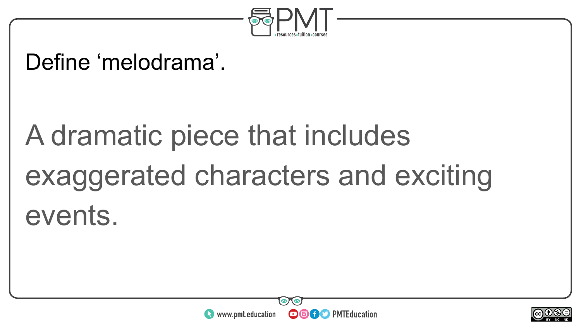

#### Define 'melodrama'.

# A dramatic piece that includes exaggerated characters and exciting events.



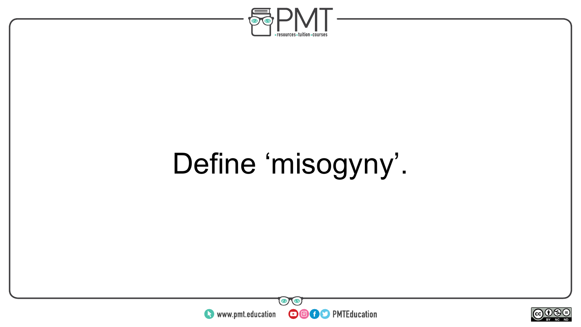

## Define 'misogyny'.



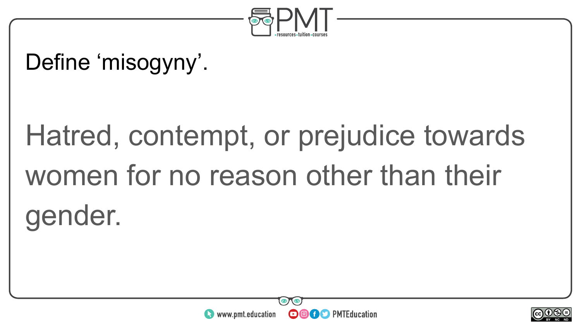

#### Define 'misogyny'.

# Hatred, contempt, or prejudice towards women for no reason other than their gender.



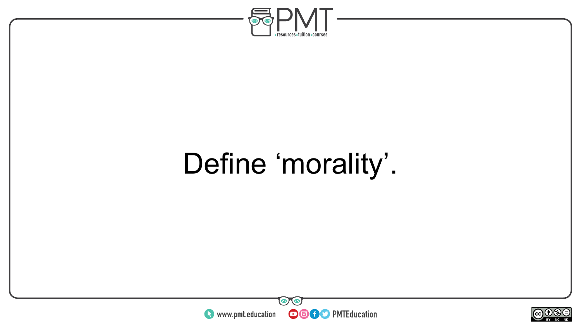

## Define 'morality'.



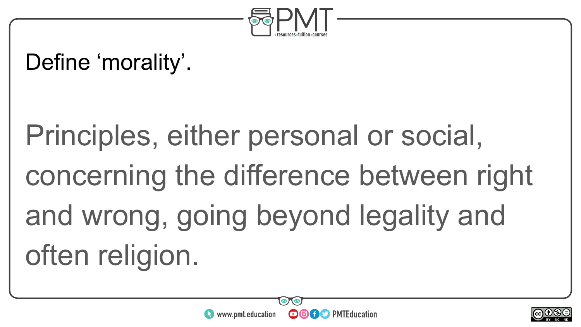

#### Define 'morality'.

Principles, either personal or social, concerning the difference between right and wrong, going beyond legality and often religion.



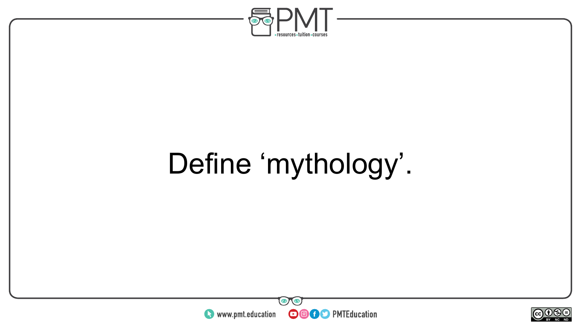

## Define 'mythology'.



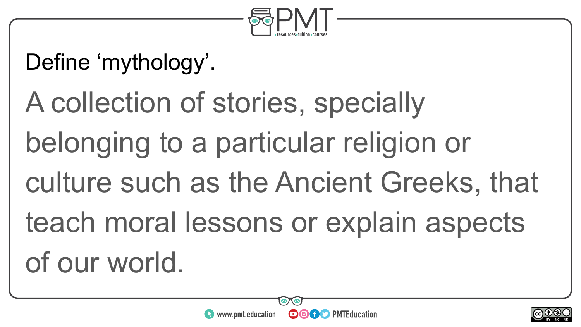

#### Define 'mythology'.

A collection of stories, specially belonging to a particular religion or culture such as the Ancient Greeks, that teach moral lessons or explain aspects of our world.



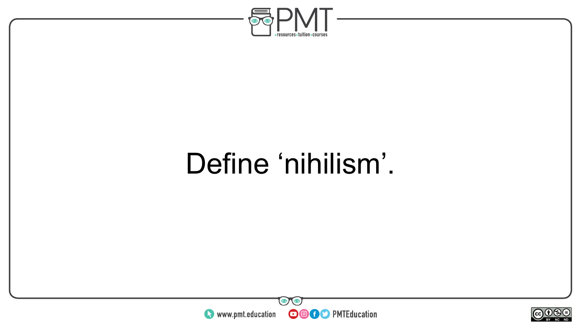

### Define 'nihilism'.



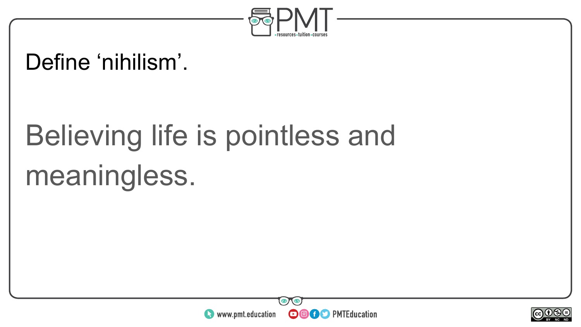

#### Define 'nihilism'.

# Believing life is pointless and meaningless.



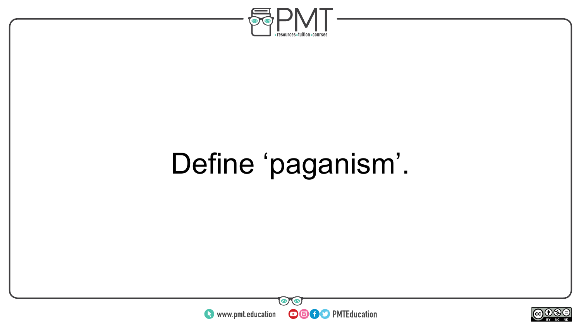

## Define 'paganism'.



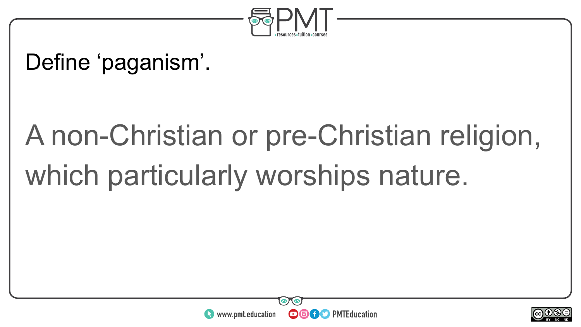

#### Define 'paganism'.

# A non-Christian or pre-Christian religion, which particularly worships nature.



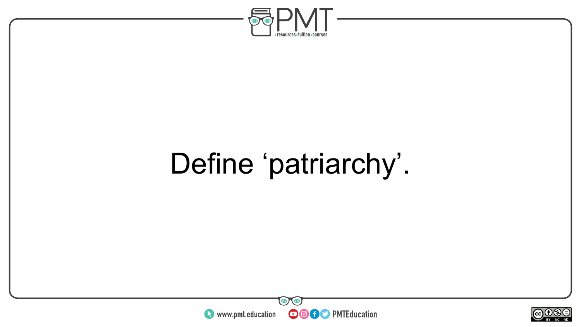

## Define 'patriarchy'.



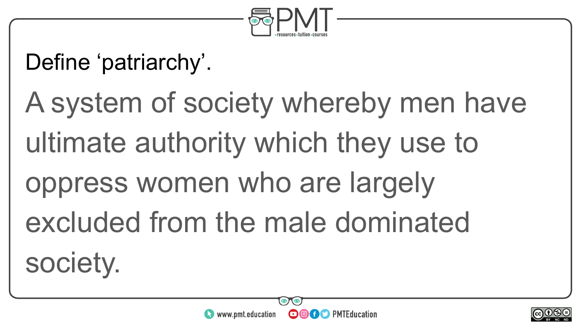

#### Define 'patriarchy'.

A system of society whereby men have ultimate authority which they use to oppress women who are largely excluded from the male dominated society.



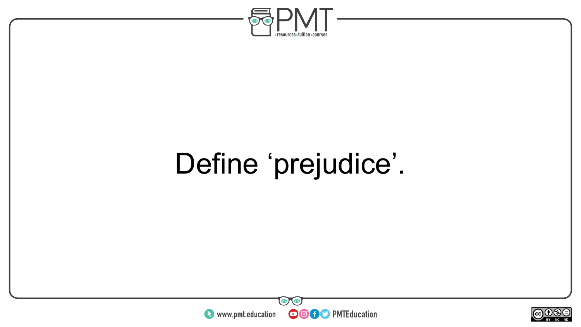

## Define 'prejudice'.



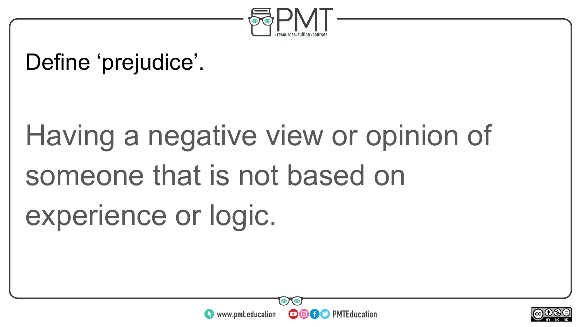

#### Define 'prejudice'.

# Having a negative view or opinion of someone that is not based on experience or logic.



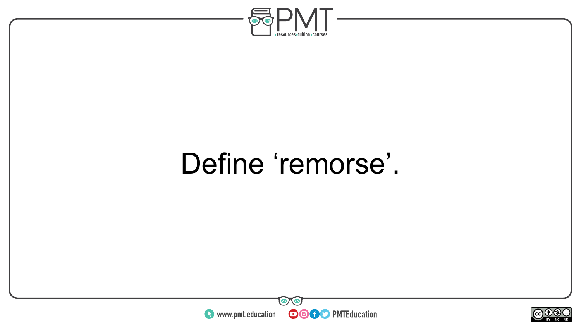

### Define 'remorse'.



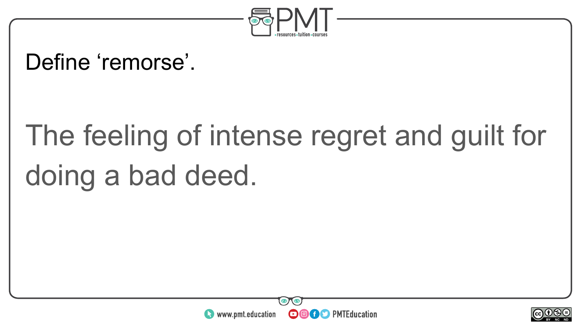

#### Define 'remorse'.

# The feeling of intense regret and guilt for doing a bad deed.



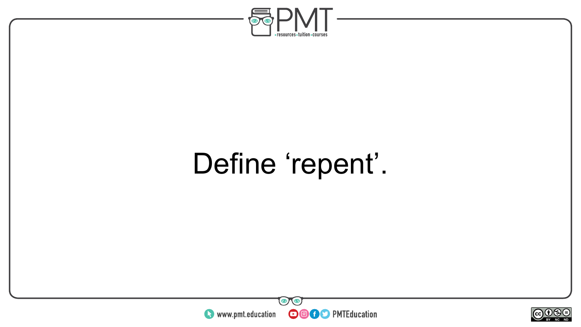

## Define 'repent'.



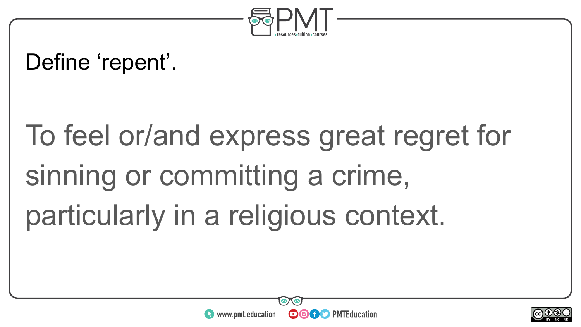

#### Define 'repent'.

# To feel or/and express great regret for sinning or committing a crime, particularly in a religious context.



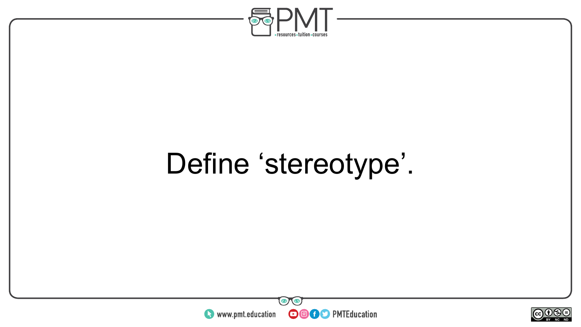

## Define 'stereotype'.



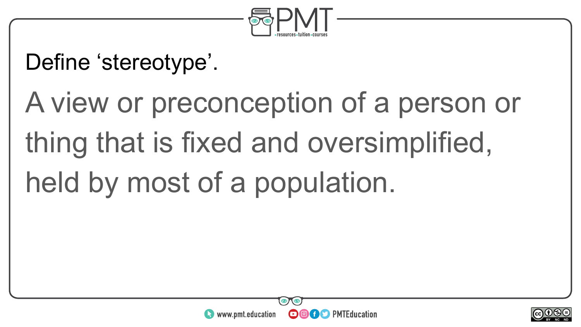

#### Define 'stereotype'.

# A view or preconception of a person or thing that is fixed and oversimplified, held by most of a population.



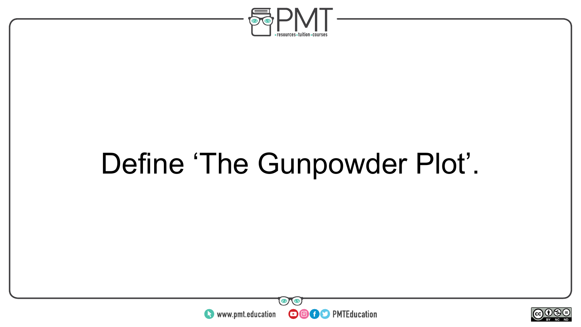

## Define 'The Gunpowder Plot'.



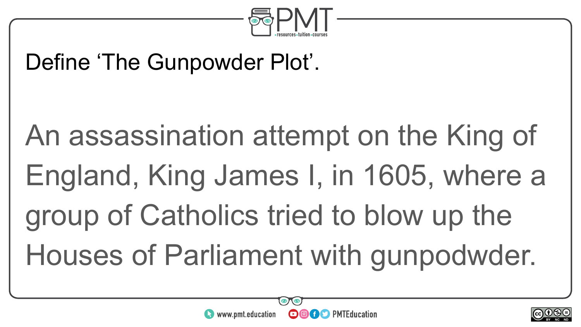

#### Define 'The Gunpowder Plot'.

# An assassination attempt on the King of England, King James I, in 1605, where a group of Catholics tried to blow up the Houses of Parliament with gunpodwder.

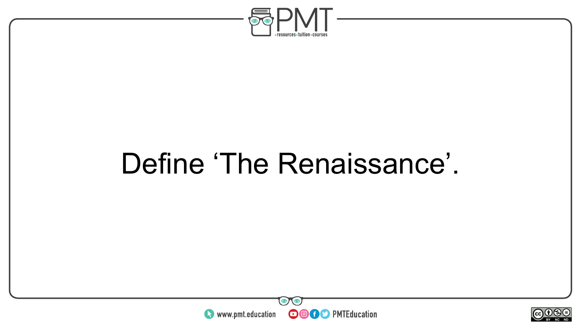

### Define 'The Renaissance'.



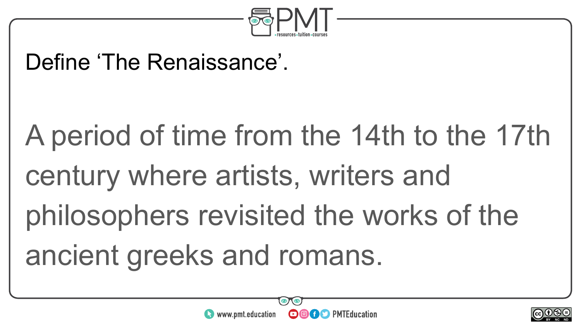

#### Define 'The Renaissance'.

A period of time from the 14th to the 17th century where artists, writers and philosophers revisited the works of the ancient greeks and romans.



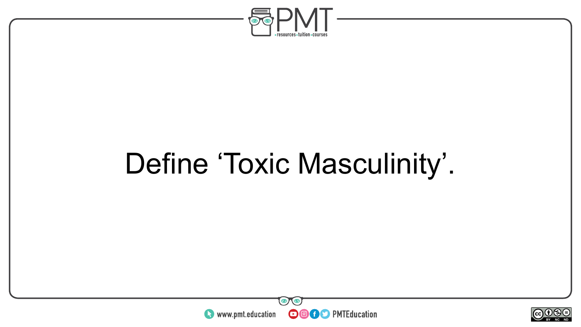

## Define 'Toxic Masculinity'.



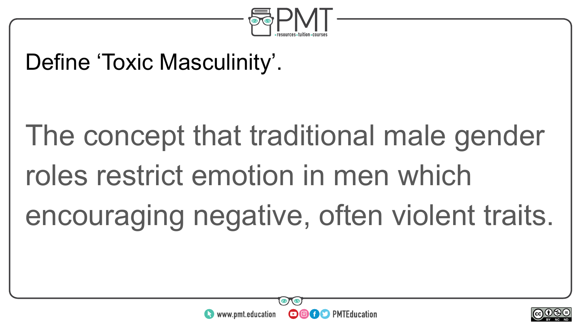

#### Define 'Toxic Masculinity'.

# The concept that traditional male gender roles restrict emotion in men which encouraging negative, often violent traits.



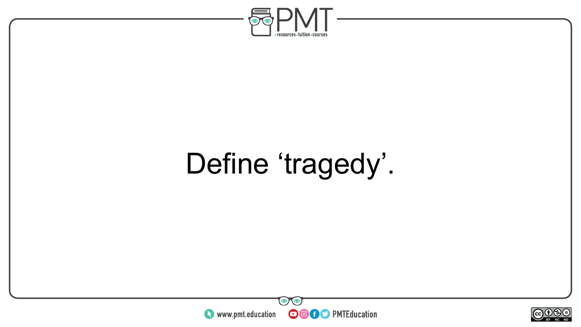

# Define 'tragedy'.



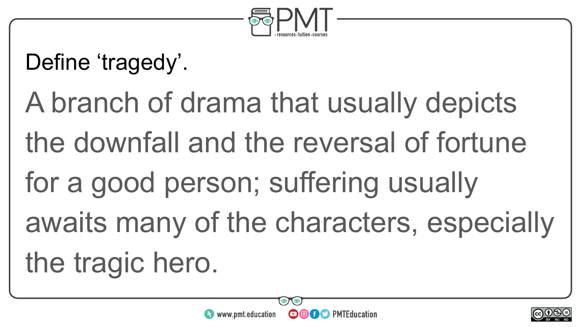

#### Define 'tragedy'.

A branch of drama that usually depicts the downfall and the reversal of fortune for a good person; suffering usually awaits many of the characters, especially the tragic hero.

**OOOO D** PMTEducation

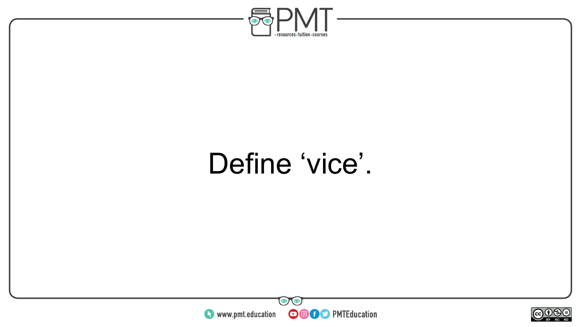

### Define 'vice'.



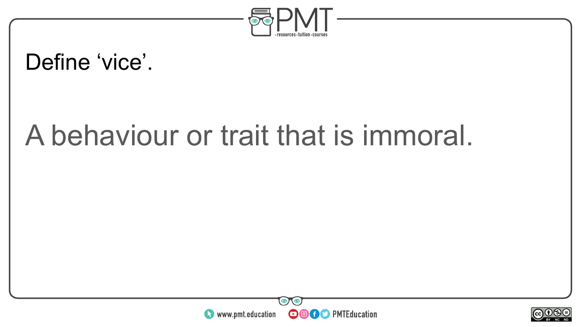

#### Define 'vice'.

### A behaviour or trait that is immoral.



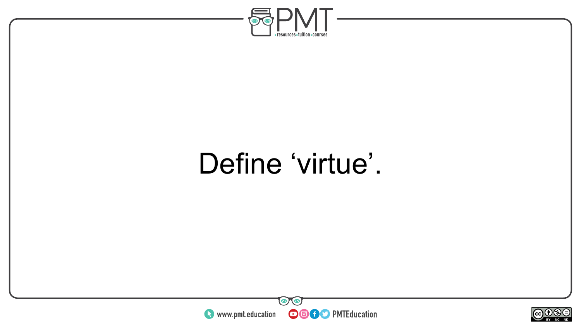

### Define 'virtue'.